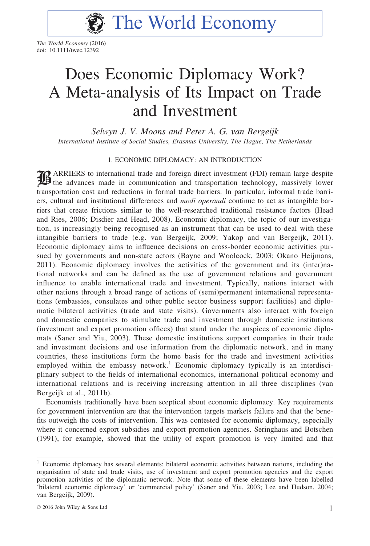

The World Economy (2016) doi: 10.1111/twec.12392

# Does Economic Diplomacy Work? A Meta-analysis of Its Impact on Trade and Investment

Selwyn J. V. Moons and Peter A. G. van Bergeijk International Institute of Social Studies, Erasmus University, The Hague, The Netherlands

## 1. ECONOMIC DIPLOMACY: AN INTRODUCTION

BARRIERS to international trade and foreign direct investment (FDI) remain large despite the advances made in communication and transportation technology, massively lower transportation cost and reductions in formal trade barriers. In particular, informal trade barriers, cultural and institutional differences and modi operandi continue to act as intangible barriers that create frictions similar to the well-researched traditional resistance factors (Head and Ries, 2006; Disdier and Head, 2008). Economic diplomacy, the topic of our investigation, is increasingly being recognised as an instrument that can be used to deal with these intangible barriers to trade (e.g. van Bergeijk, 2009; Yakop and van Bergeijk, 2011). Economic diplomacy aims to influence decisions on cross-border economic activities pursued by governments and non-state actors (Bayne and Woolcock, 2003; Okano Heijmans, 2011). Economic diplomacy involves the activities of the government and its (inter)national networks and can be defined as the use of government relations and government influence to enable international trade and investment. Typically, nations interact with other nations through a broad range of actions of (semi)permanent international representations (embassies, consulates and other public sector business support facilities) and diplomatic bilateral activities (trade and state visits). Governments also interact with foreign and domestic companies to stimulate trade and investment through domestic institutions (investment and export promotion offices) that stand under the auspices of economic diplomats (Saner and Yiu, 2003). These domestic institutions support companies in their trade and investment decisions and use information from the diplomatic network, and in many countries, these institutions form the home basis for the trade and investment activities employed within the embassy network.<sup>1</sup> Economic diplomacy typically is an interdisciplinary subject to the fields of international economics, international political economy and international relations and is receiving increasing attention in all three disciplines (van Bergeijk et al., 2011b).

Economists traditionally have been sceptical about economic diplomacy. Key requirements for government intervention are that the intervention targets markets failure and that the benefits outweigh the costs of intervention. This was contested for economic diplomacy, especially where it concerned export subsidies and export promotion agencies. Seringhaus and Botschen (1991), for example, showed that the utility of export promotion is very limited and that

<sup>&</sup>lt;sup>1</sup> Economic diplomacy has several elements: bilateral economic activities between nations, including the organisation of state and trade visits, use of investment and export promotion agencies and the export promotion activities of the diplomatic network. Note that some of these elements have been labelled 'bilateral economic diplomacy' or 'commercial policy' (Saner and Yiu, 2003; Lee and Hudson, 2004; van Bergeijk, 2009).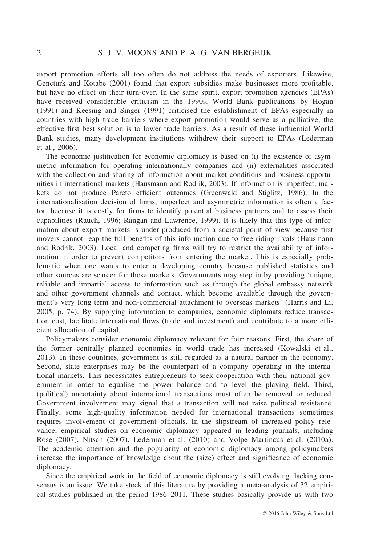export promotion efforts all too often do not address the needs of exporters. Likewise, Gencturk and Kotabe (2001) found that export subsidies make businesses more profitable, but have no effect on their turn-over. In the same spirit, export promotion agencies (EPAs) have received considerable criticism in the 1990s. World Bank publications by Hogan (1991) and Keesing and Singer (1991) criticised the establishment of EPAs especially in countries with high trade barriers where export promotion would serve as a palliative; the effective first best solution is to lower trade barriers. As a result of these influential World Bank studies, many development institutions withdrew their support to EPAs (Lederman et al., 2006).

The economic justification for economic diplomacy is based on (i) the existence of asymmetric information for operating internationally companies and (ii) externalities associated with the collection and sharing of information about market conditions and business opportunities in international markets (Hausmann and Rodrik, 2003). If information is imperfect, markets do not produce Pareto efficient outcomes (Greenwald and Stiglitz, 1986). In the internationalisation decision of firms, imperfect and asymmetric information is often a factor, because it is costly for firms to identify potential business partners and to assess their capabilities (Rauch, 1996; Rangan and Lawrence, 1999). It is likely that this type of information about export markets is under-produced from a societal point of view because first movers cannot reap the full benefits of this information due to free riding rivals (Hausmann and Rodrik, 2003). Local and competing firms will try to restrict the availability of information in order to prevent competitors from entering the market. This is especially problematic when one wants to enter a developing country because published statistics and other sources are scarcer for those markets. Governments may step in by providing 'unique, reliable and impartial access to information such as through the global embassy network and other government channels and contact, which become available through the government's very long term and non-commercial attachment to overseas markets' (Harris and Li, 2005, p. 74). By supplying information to companies, economic diplomats reduce transaction cost, facilitate international flows (trade and investment) and contribute to a more efficient allocation of capital.

Policymakers consider economic diplomacy relevant for four reasons. First, the share of the former centrally planned economies in world trade has increased (Kowalski et al., 2013). In these countries, government is still regarded as a natural partner in the economy. Second, state enterprises may be the counterpart of a company operating in the international markets. This necessitates entrepreneurs to seek cooperation with their national government in order to equalise the power balance and to level the playing field. Third, (political) uncertainty about international transactions must often be removed or reduced. Government involvement may signal that a transaction will not raise political resistance. Finally, some high-quality information needed for international transactions sometimes requires involvement of government officials. In the slipstream of increased policy relevance, empirical studies on economic diplomacy appeared in leading journals, including Rose (2007), Nitsch (2007), Lederman et al. (2010) and Volpe Martincus et al. (2010a). The academic attention and the popularity of economic diplomacy among policymakers increase the importance of knowledge about the (size) effect and significance of economic diplomacy.

Since the empirical work in the field of economic diplomacy is still evolving, lacking consensus is an issue. We take stock of this literature by providing a meta-analysis of 32 empirical studies published in the period 1986–2011. These studies basically provide us with two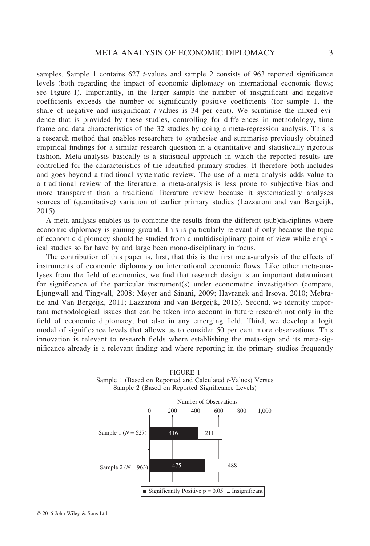samples. Sample 1 contains 627 t-values and sample 2 consists of 963 reported significance levels (both regarding the impact of economic diplomacy on international economic flows; see Figure 1). Importantly, in the larger sample the number of insignificant and negative coefficients exceeds the number of significantly positive coefficients (for sample 1, the share of negative and insignificant t-values is 34 per cent). We scrutinise the mixed evidence that is provided by these studies, controlling for differences in methodology, time frame and data characteristics of the 32 studies by doing a meta-regression analysis. This is a research method that enables researchers to synthesise and summarise previously obtained empirical findings for a similar research question in a quantitative and statistically rigorous fashion. Meta-analysis basically is a statistical approach in which the reported results are controlled for the characteristics of the identified primary studies. It therefore both includes and goes beyond a traditional systematic review. The use of a meta-analysis adds value to a traditional review of the literature: a meta-analysis is less prone to subjective bias and more transparent than a traditional literature review because it systematically analyses sources of (quantitative) variation of earlier primary studies (Lazzaroni and van Bergeijk, 2015).

A meta-analysis enables us to combine the results from the different (sub)disciplines where economic diplomacy is gaining ground. This is particularly relevant if only because the topic of economic diplomacy should be studied from a multidisciplinary point of view while empirical studies so far have by and large been mono-disciplinary in focus.

The contribution of this paper is, first, that this is the first meta-analysis of the effects of instruments of economic diplomacy on international economic flows. Like other meta-analyses from the field of economics, we find that research design is an important determinant for significance of the particular instrument(s) under econometric investigation (compare, Ljungwall and Tingvall, 2008; Meyer and Sinani, 2009; Havranek and Irsova, 2010; Mebratie and Van Bergeijk, 2011; Lazzaroni and van Bergeijk, 2015). Second, we identify important methodological issues that can be taken into account in future research not only in the field of economic diplomacy, but also in any emerging field. Third, we develop a logit model of significance levels that allows us to consider 50 per cent more observations. This innovation is relevant to research fields where establishing the meta-sign and its meta-significance already is a relevant finding and where reporting in the primary studies frequently



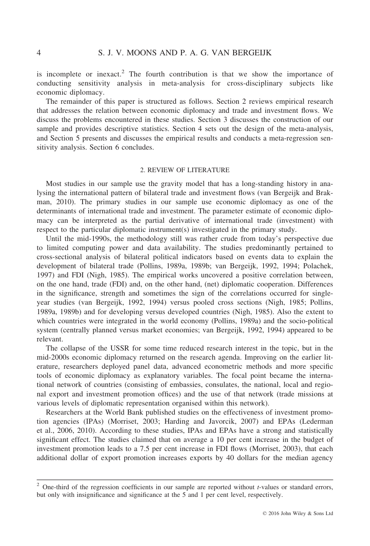is incomplete or inexact.<sup>2</sup> The fourth contribution is that we show the importance of conducting sensitivity analysis in meta-analysis for cross-disciplinary subjects like economic diplomacy.

The remainder of this paper is structured as follows. Section 2 reviews empirical research that addresses the relation between economic diplomacy and trade and investment flows. We discuss the problems encountered in these studies. Section 3 discusses the construction of our sample and provides descriptive statistics. Section 4 sets out the design of the meta-analysis, and Section 5 presents and discusses the empirical results and conducts a meta-regression sensitivity analysis. Section 6 concludes.

## 2. REVIEW OF LITERATURE

Most studies in our sample use the gravity model that has a long-standing history in analysing the international pattern of bilateral trade and investment flows (van Bergeijk and Brakman, 2010). The primary studies in our sample use economic diplomacy as one of the determinants of international trade and investment. The parameter estimate of economic diplomacy can be interpreted as the partial derivative of international trade (investment) with respect to the particular diplomatic instrument(s) investigated in the primary study.

Until the mid-1990s, the methodology still was rather crude from today's perspective due to limited computing power and data availability. The studies predominantly pertained to cross-sectional analysis of bilateral political indicators based on events data to explain the development of bilateral trade (Pollins, 1989a, 1989b; van Bergeijk, 1992, 1994; Polachek, 1997) and FDI (Nigh, 1985). The empirical works uncovered a positive correlation between, on the one hand, trade (FDI) and, on the other hand, (net) diplomatic cooperation. Differences in the significance, strength and sometimes the sign of the correlations occurred for singleyear studies (van Bergeijk, 1992, 1994) versus pooled cross sections (Nigh, 1985; Pollins, 1989a, 1989b) and for developing versus developed countries (Nigh, 1985). Also the extent to which countries were integrated in the world economy (Pollins, 1989a) and the socio-political system (centrally planned versus market economies; van Bergeijk, 1992, 1994) appeared to be relevant.

The collapse of the USSR for some time reduced research interest in the topic, but in the mid-2000s economic diplomacy returned on the research agenda. Improving on the earlier literature, researchers deployed panel data, advanced econometric methods and more specific tools of economic diplomacy as explanatory variables. The focal point became the international network of countries (consisting of embassies, consulates, the national, local and regional export and investment promotion offices) and the use of that network (trade missions at various levels of diplomatic representation organised within this network).

Researchers at the World Bank published studies on the effectiveness of investment promotion agencies (IPAs) (Morriset, 2003; Harding and Javorcik, 2007) and EPAs (Lederman et al., 2006, 2010). According to these studies, IPAs and EPAs have a strong and statistically significant effect. The studies claimed that on average a 10 per cent increase in the budget of investment promotion leads to a 7.5 per cent increase in FDI flows (Morriset, 2003), that each additional dollar of export promotion increases exports by 40 dollars for the median agency

 $2$  One-third of the regression coefficients in our sample are reported without *t*-values or standard errors, but only with insignificance and significance at the 5 and 1 per cent level, respectively.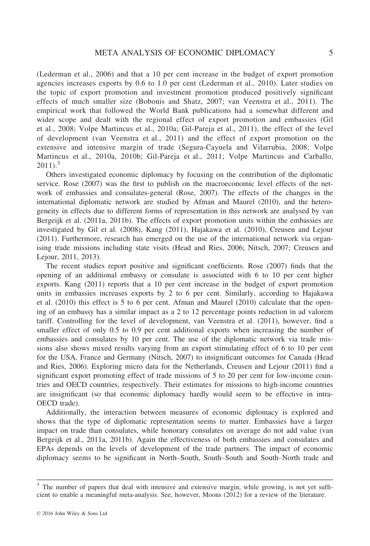(Lederman et al., 2006) and that a 10 per cent increase in the budget of export promotion agencies increases exports by 0.6 to 1.0 per cent (Lederman et al., 2010). Later studies on the topic of export promotion and investment promotion produced positively significant effects of much smaller size (Bobonis and Shatz, 2007; van Veenstra et al., 2011). The empirical work that followed the World Bank publications had a somewhat different and wider scope and dealt with the regional effect of export promotion and embassies (Gil et al., 2008; Volpe Martincus et al., 2010a; Gil-Pareja et al., 2011), the effect of the level of development (van Veenstra et al., 2011) and the effect of export promotion on the extensive and intensive margin of trade (Segura-Cayuela and Vilarrubia, 2008; Volpe Martincus et al., 2010a, 2010b; Gil-Pareja et al., 2011; Volpe Martincus and Carballo,  $2011$ ).<sup>3</sup>

Others investigated economic diplomacy by focusing on the contribution of the diplomatic service. Rose (2007) was the first to publish on the macroeconomic level effects of the network of embassies and consulates-general (Rose, 2007). The effects of the changes in the international diplomatic network are studied by Afman and Maurel (2010), and the heterogeneity in effects due to different forms of representation in this network are analysed by van Bergeijk et al. (2011a, 2011b). The effects of export promotion units within the embassies are investigated by Gil et al. (2008), Kang (2011), Hajakawa et al. (2010), Creusen and Lejour (2011). Furthermore, research has emerged on the use of the international network via organising trade missions including state visits (Head and Ries, 2006; Nitsch, 2007; Creusen and Lejour, 2011, 2013).

The recent studies report positive and significant coefficients. Rose (2007) finds that the opening of an additional embassy or consulate is associated with 6 to 10 per cent higher exports. Kang (2011) reports that a 10 per cent increase in the budget of export promotion units in embassies increases exports by 2 to 6 per cent. Similarly, according to Hajakawa et al. (2010) this effect is 5 to 6 per cent. Afman and Maurel (2010) calculate that the opening of an embassy has a similar impact as a 2 to 12 percentage points reduction in ad valorem tariff. Controlling for the level of development, van Veenstra et al. (2011), however, find a smaller effect of only 0.5 to 0.9 per cent additional exports when increasing the number of embassies and consulates by 10 per cent. The use of the diplomatic network via trade missions also shows mixed results varying from an export stimulating effect of 6 to 10 per cent for the USA, France and Germany (Nitsch, 2007) to insignificant outcomes for Canada (Head and Ries, 2006). Exploring micro data for the Netherlands, Creusen and Lejour (2011) find a significant export promoting effect of trade missions of 5 to 20 per cent for low-income countries and OECD countries, respectively. Their estimates for missions to high-income countries are insignificant (so that economic diplomacy hardly would seem to be effective in intra-OECD trade).

Additionally, the interaction between measures of economic diplomacy is explored and shows that the type of diplomatic representation seems to matter. Embassies have a larger impact on trade than consulates, while honorary consulates on average do not add value (van Bergeijk et al., 2011a, 2011b). Again the effectiveness of both embassies and consulates and EPAs depends on the levels of development of the trade partners. The impact of economic diplomacy seems to be significant in North–South, South–South and South–North trade and

<sup>&</sup>lt;sup>3</sup> The number of papers that deal with intensive and extensive margin, while growing, is not yet sufficient to enable a meaningful meta-analysis. See, however, Moons (2012) for a review of the literature.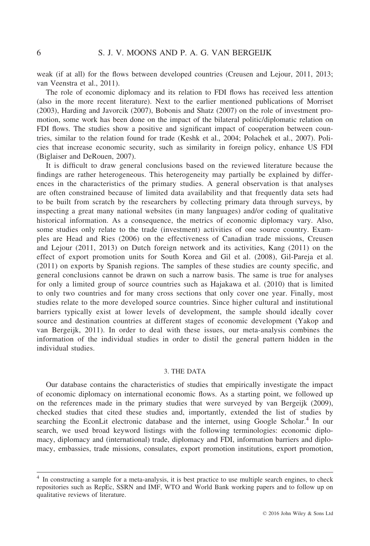weak (if at all) for the flows between developed countries (Creusen and Lejour, 2011, 2013; van Veenstra et al., 2011).

The role of economic diplomacy and its relation to FDI flows has received less attention (also in the more recent literature). Next to the earlier mentioned publications of Morriset (2003), Harding and Javorcik (2007), Bobonis and Shatz (2007) on the role of investment promotion, some work has been done on the impact of the bilateral politic/diplomatic relation on FDI flows. The studies show a positive and significant impact of cooperation between countries, similar to the relation found for trade (Keshk et al., 2004; Polachek et al., 2007). Policies that increase economic security, such as similarity in foreign policy, enhance US FDI (Biglaiser and DeRouen, 2007).

It is difficult to draw general conclusions based on the reviewed literature because the findings are rather heterogeneous. This heterogeneity may partially be explained by differences in the characteristics of the primary studies. A general observation is that analyses are often constrained because of limited data availability and that frequently data sets had to be built from scratch by the researchers by collecting primary data through surveys, by inspecting a great many national websites (in many languages) and/or coding of qualitative historical information. As a consequence, the metrics of economic diplomacy vary. Also, some studies only relate to the trade (investment) activities of one source country. Examples are Head and Ries (2006) on the effectiveness of Canadian trade missions, Creusen and Lejour (2011, 2013) on Dutch foreign network and its activities, Kang (2011) on the effect of export promotion units for South Korea and Gil et al. (2008), Gil-Pareja et al. (2011) on exports by Spanish regions. The samples of these studies are county specific, and general conclusions cannot be drawn on such a narrow basis. The same is true for analyses for only a limited group of source countries such as Hajakawa et al. (2010) that is limited to only two countries and for many cross sections that only cover one year. Finally, most studies relate to the more developed source countries. Since higher cultural and institutional barriers typically exist at lower levels of development, the sample should ideally cover source and destination countries at different stages of economic development (Yakop and van Bergeijk, 2011). In order to deal with these issues, our meta-analysis combines the information of the individual studies in order to distil the general pattern hidden in the individual studies.

#### 3. THE DATA

Our database contains the characteristics of studies that empirically investigate the impact of economic diplomacy on international economic flows. As a starting point, we followed up on the references made in the primary studies that were surveyed by van Bergeijk (2009), checked studies that cited these studies and, importantly, extended the list of studies by searching the EconLit electronic database and the internet, using Google Scholar.<sup>4</sup> In our search, we used broad keyword listings with the following terminologies: economic diplomacy, diplomacy and (international) trade, diplomacy and FDI, information barriers and diplomacy, embassies, trade missions, consulates, export promotion institutions, export promotion,

In constructing a sample for a meta-analysis, it is best practice to use multiple search engines, to check repositories such as RepEc, SSRN and IMF, WTO and World Bank working papers and to follow up on qualitative reviews of literature.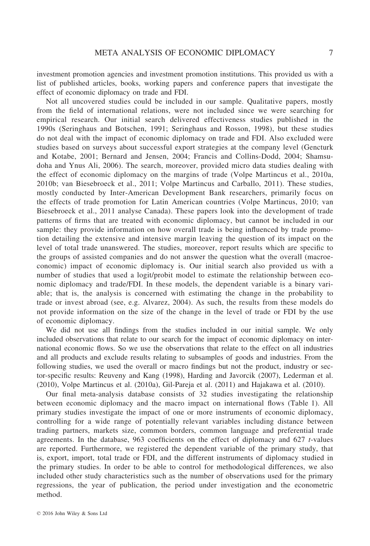investment promotion agencies and investment promotion institutions. This provided us with a list of published articles, books, working papers and conference papers that investigate the effect of economic diplomacy on trade and FDI.

Not all uncovered studies could be included in our sample. Qualitative papers, mostly from the field of international relations, were not included since we were searching for empirical research. Our initial search delivered effectiveness studies published in the 1990s (Seringhaus and Botschen, 1991; Seringhaus and Rosson, 1998), but these studies do not deal with the impact of economic diplomacy on trade and FDI. Also excluded were studies based on surveys about successful export strategies at the company level (Gencturk and Kotabe, 2001; Bernard and Jensen, 2004; Francis and Collins-Dodd, 2004; Shamsudoha and Ynus Ali, 2006). The search, moreover, provided micro data studies dealing with the effect of economic diplomacy on the margins of trade (Volpe Martincus et al., 2010a, 2010b; van Biesebroeck et al., 2011; Volpe Martincus and Carballo, 2011). These studies, mostly conducted by Inter-American Development Bank researchers, primarily focus on the effects of trade promotion for Latin American countries (Volpe Martincus, 2010; van Biesebroeck et al., 2011 analyse Canada). These papers look into the development of trade patterns of firms that are treated with economic diplomacy, but cannot be included in our sample: they provide information on how overall trade is being influenced by trade promotion detailing the extensive and intensive margin leaving the question of its impact on the level of total trade unanswered. The studies, moreover, report results which are specific to the groups of assisted companies and do not answer the question what the overall (macroeconomic) impact of economic diplomacy is. Our initial search also provided us with a number of studies that used a logit/probit model to estimate the relationship between economic diplomacy and trade/FDI. In these models, the dependent variable is a binary variable; that is, the analysis is concerned with estimating the change in the probability to trade or invest abroad (see, e.g. Alvarez, 2004). As such, the results from these models do not provide information on the size of the change in the level of trade or FDI by the use of economic diplomacy.

We did not use all findings from the studies included in our initial sample. We only included observations that relate to our search for the impact of economic diplomacy on international economic flows. So we use the observations that relate to the effect on all industries and all products and exclude results relating to subsamples of goods and industries. From the following studies, we used the overall or macro findings but not the product, industry or sector-specific results: Reuveny and Kang (1998), Harding and Javorcik (2007), Lederman et al. (2010), Volpe Martincus et al. (2010a), Gil-Pareja et al. (2011) and Hajakawa et al. (2010).

Our final meta-analysis database consists of 32 studies investigating the relationship between economic diplomacy and the macro impact on international flows (Table 1). All primary studies investigate the impact of one or more instruments of economic diplomacy, controlling for a wide range of potentially relevant variables including distance between trading partners, markets size, common borders, common language and preferential trade agreements. In the database, 963 coefficients on the effect of diplomacy and 627  $t$ -values are reported. Furthermore, we registered the dependent variable of the primary study, that is, export, import, total trade or FDI, and the different instruments of diplomacy studied in the primary studies. In order to be able to control for methodological differences, we also included other study characteristics such as the number of observations used for the primary regressions, the year of publication, the period under investigation and the econometric method.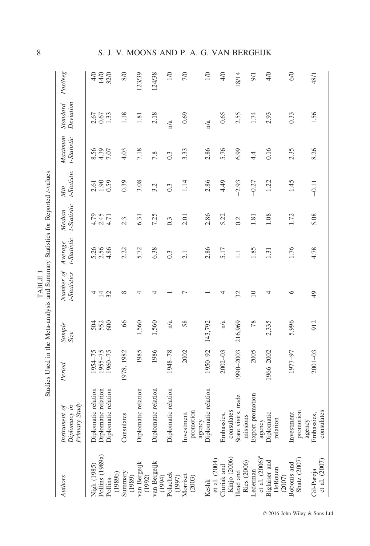|                                                                |                                                                               |            |                 | Studies Used in the Meta-analysis and Summary Statistics for Reported t-values |                  |                       |                    |                        |                       |                  |
|----------------------------------------------------------------|-------------------------------------------------------------------------------|------------|-----------------|--------------------------------------------------------------------------------|------------------|-----------------------|--------------------|------------------------|-----------------------|------------------|
| Authors                                                        | Primary Study<br>$\partial f$<br>$\ddot{n}$<br>Instrument<br><b>Diplomacy</b> | Period     | Sample<br>Size  | Number of Average<br>t-Statistics                                              | t-Statistic      | t-Statistic<br>Median | t-Statistic<br>Min | Maximum<br>t-Statistic | Standard<br>Deviation | Pos/Neg          |
| Nigh (1985)                                                    | Diplomatic relation                                                           | 1954–75    | 504             |                                                                                | 5.26             | 4.79                  | 2.61               | 8.56                   | 2.67                  | $4/0$            |
| Pollins (1989a)                                                | relation<br>Diplomatic<br>Diplomatic<br>1                                     | 1955-75    | 552             | $\overline{4}$                                                                 | 2.56             | 2.45<br>4.71          | 1.90               | 4.39                   | 0.67                  | 14/0             |
| (1989b)<br>Pollins                                             | relation                                                                      | 1960–75    | 600             | 32                                                                             | 4.86             |                       | 0.59               | 7.07                   | 1.33                  | 32/0             |
| $\begin{array}{c} \text{Summary} \\ \text{(1989)} \end{array}$ | Consulates                                                                    | 1978, 1982 | 66              | ∞                                                                              | 2.22             | 2.3                   | 0.39               | 4.03                   | 1.18                  | 8/0              |
| van Bergeijk<br>(1992)                                         | Diplomatic relation                                                           | 1985       | 1,560           | 4                                                                              | 5.72             | 6.31                  | 3.08               | 7.18                   | 1.81                  | 123/39           |
| van Bergeijk<br>(1994)                                         | relation<br>Diplomatic                                                        | 1986       | 1,560           | 4                                                                              | 6.38             | 7.25                  | 3.2                | 7.8                    | 2.18                  | 124/38           |
| Polachek<br>(1997)                                             | Diplomatic relation                                                           | 1948-78    | n/a             |                                                                                | $0.\overline{3}$ | 0.3                   | 0.3                | 0.3                    | n/a                   | $\overline{1/0}$ |
| Morriset<br>(2003)                                             | promotion<br>nvestment                                                        | 2002       | 58              | ⊢                                                                              | 2.1              | 2.01                  | 1.14               | 3.33                   | 0.69                  | 2/0              |
| Keshk                                                          | Diplomatic relation<br>agency                                                 |            | 1950-92 143,792 |                                                                                | 2.86             | 2.86                  | 2.86               | 2.86                   | n/a                   | $\geq$           |

|      | Ï                                  |
|------|------------------------------------|
|      |                                    |
|      | i                                  |
|      | I                                  |
| FART |                                    |
|      |                                    |
|      | ļ                                  |
|      | $\overline{a}$ at a $\overline{a}$ |
|      | i                                  |
|      |                                    |
|      |                                    |
|      | ŕ.                                 |

# 8 S. J. V. MOONS AND P. A. G. VAN BERGEIJK

Bobonis and Shatz (2007)

Shatz (2007) Bobonis and

Gil-Pareja et al. (2007)

Embassies, consulates

consulates

2001

–03 912 49 4.78 5.08

 $\overline{49}$ 

912

 $-0.11$  8.26 1.56 48/1

8.26

 $-0.11$ 

5.08

4.78

1.56

48/1

Investment promotion agency<br>Embassies,

Investment

1977

5,996

et al. (2004)

et al. (2004)

Ciuriak and Kinjo (2006)

Ciuriak and

Kinjo (2006) Head and<br>Ries (2006)

Head and Ries (2006) Lederman et al.  $(2006)^{a}$ 

**ederman** 

et al.  $(2006)^a$ 

Biglaiser and DeRouen Biglaiser and<br>DeRouen<br>(2007)

Diplomatic relation

1966-2002

4

2,335

Export promotion agency

Export promotion

State visits, trade missions

State visits, trade consulates

1990-2003 216,969

 $-2003$  216,969 32 1.1 0.2

2005 78 10 1.85 1.81

 $\overline{10}$ 

78

2005

1.85 1.31

–2002 2,335 4 1.31 1.08 1.22 0.16 2.93 4/0

1.08 1.81

0.16

1.22

–97 5,996 6 1.76 1.72 1.45 2.35 0.33 6/0

1.72

1.76

 $\circ$ 

Embassies, consulates

Embassies,

2002

–03 n/a 4 5.17 5.22 4.49 5.76 0.65 4/0

5.22

5.17

4 32

 $n/a$ 

2.93 6.99 2.55 18/14

 $-2.93$ 

 $0.2$ 

 $\equiv$ 

2.55

18/14

 $4/0$ 

0.65

5.76 6.99

4.49

0.27 4.4 1.74 9/1

 $4.4$ 

 $-0.27$ 

 $1.74$ 2.93

 $5/1$ 

 $4/0$ 

6/0

0.33

2.35

1.45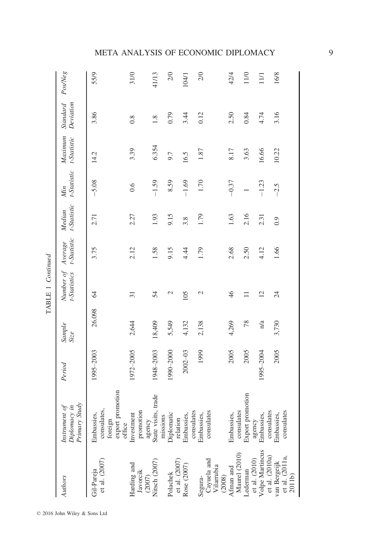|                                                               |                                                                    |             |                | TABLE 1 Continued         |                        |                       |                           |                        |                       |         |
|---------------------------------------------------------------|--------------------------------------------------------------------|-------------|----------------|---------------------------|------------------------|-----------------------|---------------------------|------------------------|-----------------------|---------|
| Authors                                                       | Primary Study<br>Instrument of<br>Diplomacy in                     | Period      | Sample<br>Size | t-Statistics<br>Number of | t-Statistic<br>Average | t-Statistic<br>Median | t-Statistic<br><b>Min</b> | Maximum<br>t-Statistic | Deviation<br>Standard | Pos/Neg |
| et al. (2007)<br>Gil-Pareja                                   | export promotion<br>consulates,<br>Embassies,<br>foreign<br>office | 1995-2003   | 26.098         | $\mathcal{L}$             | 3.75                   | 2.71                  | $-5.08$                   | 14.2                   | 3.86                  | 55/9    |
| Harding and<br>Javorcik<br>(2007)                             | promotion<br>Investment<br>agency                                  | 1972-2005   | 2,644          | $\overline{31}$           | 2.12                   | 2.27                  | 0.6                       | 3.39                   | 0.8                   | 31/0    |
| Nitsch (2007)                                                 | trade<br>State visits,<br>missions                                 | 1948-2003   | 18,409         | 54                        | 1.58                   | 1.93                  | $-1.59$                   | 6.354                  | 1.8                   | 41/13   |
| Polachek<br>et al. (2007)<br>Rose (2007)                      | Diplomatic<br>relation                                             | 1990-2000   | 5,549          | $\mathcal{C}$             | 9.15                   | 9.15                  | 8.59                      | 9.7                    | 0.79                  | 2/0     |
|                                                               | consulates<br>Embassies,                                           | $2002 - 03$ | 4,132          | 105                       | 4.44                   | 3.8                   | $-1.69$                   | 16.5                   | 3.44                  | 104/1   |
| Segura-<br>Cayuela and<br>Vilarrubia<br>(2008)                | consulates<br>Embassies,                                           | 1999        | 2,138          | $\mathcal{C}$             | 1.79                   | 1.79                  | 1.70                      | 1.87                   | 0.12                  | 2/0     |
| $\begin{tabular}{c} Aíman and \\ Maurel (2010) \end{tabular}$ | consulates<br>Embassies,                                           | 2005        | 4,269          | 46                        | 2.68                   | 1.63                  | $-0.37$                   | 8.17                   | 2.50                  | 42/4    |
| et al. (2010)<br>ederman                                      | notion<br>Export prom<br>agency                                    | 2005        | 78             | $\equiv$                  | 2.50                   | 2.16                  |                           | 3.63                   | 0.84                  | 11/0    |
| Volpe Martincus<br>et al. (2010a)                             | consulates<br>Embassies,                                           | 1995-2004   | n/a            | $\overline{c}$            | 4.12                   | 2.31                  | $-1.23$                   | 16.66                  | 4.74                  | 11/1    |
| et al. (2011a,<br>van Bergeijk<br>2011b)                      | consulates<br>Embassies,                                           | 2005        | 3,730          | $\overline{24}$           | 1.66                   | 0.9                   | $-2.5$                    | 10.22                  | 3.16                  | 16/8    |

# META ANALYSIS OF ECONOMIC DIPLOMACY 9

© 2016 John Wiley & Sons Ltd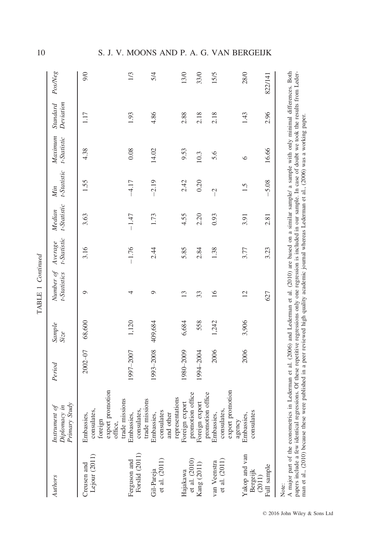| Authors                              |                                                                                       |           |                  |                           |                        |                       |                                           |                        |                       |         |
|--------------------------------------|---------------------------------------------------------------------------------------|-----------|------------------|---------------------------|------------------------|-----------------------|-------------------------------------------|------------------------|-----------------------|---------|
|                                      | Primary Study<br>Instrument of<br>Diplomacy in                                        | Period    | Sample<br>$Size$ | Number of<br>t-Statistics | t-Statistic<br>Average | t-Statistic<br>Median | t-Statistic<br>Min                        | Maximum<br>t-Statistic | Deviation<br>Standard | Pos/Neg |
| Lejour (2011)<br>Creusen and         | export promotion<br>trade missions<br>consulates,<br>Embassies,<br>foreign<br>office, | 2002-07   | 68,600           | Ó                         | 3.16                   | 3.63                  | 1.55                                      | 4.38                   | 1.17                  | 9/0     |
| Forslid (2011<br>Ferguson and        | trade missions<br>consulates,<br>Embassies,                                           | 1997-2007 | 1,120            | 4                         | $-1.76$                | $-1.47$               | $-4.17$                                   | 0.08                   | 1.93                  | 1/3     |
| et al. (2011)<br>Gil-Pareja          | representations<br>consulates<br>Embassies,<br>and other                              | 1993-2008 | 409,684          | Q                         | 2.44                   | 1.73                  | $-2.19$                                   | 14.02                  | 4.86                  | 5/4     |
| Hajakawa                             | office<br>Foreign export<br>promotion                                                 | 1980-2009 | 6,684            | 13                        | 5.85                   | 4.55                  | 2.42                                      | 9.53                   | 2.88                  | 13/0    |
| $e\dot{t}$ al. (2010)<br>Kang (2011) | promotion office<br>Foreign export                                                    | 1994-2004 | 558              | 33                        | 2.84                   | 2.20                  | 0.20                                      | 10.3                   | 2.18                  | 33/0    |
| et al. $(2011)$<br>van Veenstra      | export promotion<br>consulates,<br>Embassies,<br>agency                               | 2006      | 1,242            | $\overline{16}$           | 1.38                   | 0.93                  | $\mathcal{L}$<br>$\overline{\phantom{a}}$ | 5.6                    | 2.18                  | 15/5    |
| Yakop and van<br>Bergeijk<br>(2011)  | consulates<br>Embassies,                                                              | 2006      | 3,906            | $\overline{2}$            | 3.77                   | 3.91                  | 1.5                                       | $\circ$                | 1.43                  | 28/0    |
| Full sample                          |                                                                                       |           |                  | 627                       | 3.23                   | 2.81                  | $-5.08$                                   | 16.66                  | 2.96                  | 822/141 |

Note:

papers include a few identical regressions. Of these repetitive regressions only one regression is included in our sample. In case of doubt we took the results from Leder-<br>man et al., (2010) because these were published in papers include a few identical regressions. Of these repetitive regressions only one regression is included in our sample. In case of doubt we took the results from Lederman et al., (2010) because these were published in a peer reviewed high quality academic journal whereas Lederman et al., (2006) was a working paper.

# 10 S. J. V. MOONS AND P. A. G. VAN BERGEIJK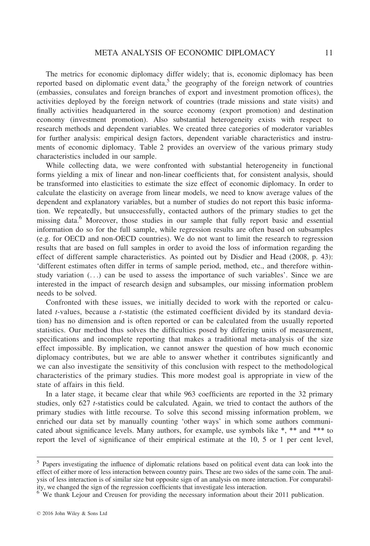The metrics for economic diplomacy differ widely; that is, economic diplomacy has been reported based on diplomatic event data,<sup>5</sup> the geography of the foreign network of countries (embassies, consulates and foreign branches of export and investment promotion offices), the activities deployed by the foreign network of countries (trade missions and state visits) and finally activities headquartered in the source economy (export promotion) and destination economy (investment promotion). Also substantial heterogeneity exists with respect to research methods and dependent variables. We created three categories of moderator variables for further analysis: empirical design factors, dependent variable characteristics and instruments of economic diplomacy. Table 2 provides an overview of the various primary study characteristics included in our sample.

While collecting data, we were confronted with substantial heterogeneity in functional forms yielding a mix of linear and non-linear coefficients that, for consistent analysis, should be transformed into elasticities to estimate the size effect of economic diplomacy. In order to calculate the elasticity on average from linear models, we need to know average values of the dependent and explanatory variables, but a number of studies do not report this basic information. We repeatedly, but unsuccessfully, contacted authors of the primary studies to get the missing data.<sup>6</sup> Moreover, those studies in our sample that fully report basic and essential information do so for the full sample, while regression results are often based on subsamples (e.g. for OECD and non-OECD countries). We do not want to limit the research to regression results that are based on full samples in order to avoid the loss of information regarding the effect of different sample characteristics. As pointed out by Disdier and Head (2008, p. 43): 'different estimates often differ in terms of sample period, method, etc., and therefore withinstudy variation  $(\ldots)$  can be used to assess the importance of such variables'. Since we are interested in the impact of research design and subsamples, our missing information problem needs to be solved.

Confronted with these issues, we initially decided to work with the reported or calculated *t*-values, because a *t*-statistic (the estimated coefficient divided by its standard deviation) has no dimension and is often reported or can be calculated from the usually reported statistics. Our method thus solves the difficulties posed by differing units of measurement, specifications and incomplete reporting that makes a traditional meta-analysis of the size effect impossible. By implication, we cannot answer the question of how much economic diplomacy contributes, but we are able to answer whether it contributes significantly and we can also investigate the sensitivity of this conclusion with respect to the methodological characteristics of the primary studies. This more modest goal is appropriate in view of the state of affairs in this field.

In a later stage, it became clear that while 963 coefficients are reported in the 32 primary studies, only 627 t-statistics could be calculated. Again, we tried to contact the authors of the primary studies with little recourse. To solve this second missing information problem, we enriched our data set by manually counting 'other ways' in which some authors communicated about significance levels. Many authors, for example, use symbols like \*, \*\* and \*\*\* to report the level of significance of their empirical estimate at the 10, 5 or 1 per cent level,

<sup>5</sup> Papers investigating the influence of diplomatic relations based on political event data can look into the effect of either more of less interaction between country pairs. These are two sides of the same coin. The analysis of less interaction is of similar size but opposite sign of an analysis on more interaction. For comparability, we changed the sign of the regression coefficients that investigate less interaction.

<sup>&</sup>lt;sup>6</sup> We thank Lejour and Creusen for providing the necessary information about their 2011 publication.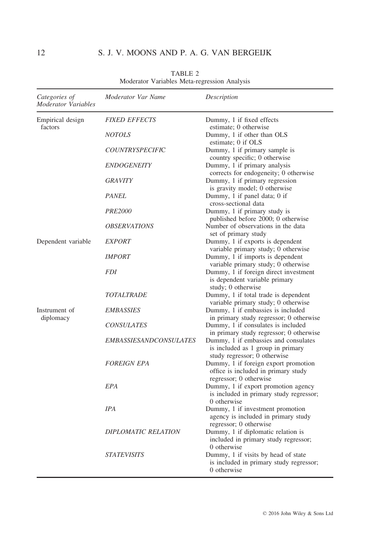# 12 S. J. V. MOONS AND P. A. G. VAN BERGEIJK

| Categories of<br>Moderator Variables | Moderator Var Name            | Description                                                                                               |
|--------------------------------------|-------------------------------|-----------------------------------------------------------------------------------------------------------|
| Empirical design<br>factors          | <b>FIXED EFFECTS</b>          | Dummy, 1 if fixed effects<br>estimate; 0 otherwise                                                        |
|                                      | <i>NOTOLS</i>                 | Dummy, 1 if other than OLS<br>estimate; 0 if OLS                                                          |
|                                      | <b>COUNTRYSPECIFIC</b>        | Dummy, 1 if primary sample is<br>country specific; 0 otherwise                                            |
|                                      | <b>ENDOGENEITY</b>            | Dummy, 1 if primary analysis<br>corrects for endogeneity; 0 otherwise                                     |
|                                      | <b>GRAVITY</b>                | Dummy, 1 if primary regression<br>is gravity model; 0 otherwise                                           |
|                                      | <b>PANEL</b>                  | Dummy, 1 if panel data; 0 if<br>cross-sectional data                                                      |
|                                      | <b>PRE2000</b>                | Dummy, 1 if primary study is<br>published before 2000; 0 otherwise                                        |
|                                      | <i><b>OBSERVATIONS</b></i>    | Number of observations in the data<br>set of primary study                                                |
| Dependent variable                   | <b>EXPORT</b>                 | Dummy, 1 if exports is dependent<br>variable primary study; 0 otherwise                                   |
|                                      | <b>IMPORT</b>                 | Dummy, 1 if imports is dependent<br>variable primary study; 0 otherwise                                   |
| Instrument of<br>diplomacy           | <i>FDI</i>                    | Dummy, 1 if foreign direct investment<br>is dependent variable primary<br>study; 0 otherwise              |
|                                      | TOTALTRADE                    | Dummy, 1 if total trade is dependent<br>variable primary study; 0 otherwise                               |
|                                      | <b>EMBASSIES</b>              | Dummy, 1 if embassies is included<br>in primary study regressor; 0 otherwise                              |
|                                      | <b>CONSULATES</b>             | Dummy, 1 if consulates is included<br>in primary study regressor; 0 otherwise                             |
|                                      | <b>EMBASSIESANDCONSULATES</b> | Dummy, 1 if embassies and consulates<br>is included as 1 group in primary<br>study regressor; 0 otherwise |
|                                      | <b>FOREIGN EPA</b>            | Dummy, 1 if foreign export promotion<br>office is included in primary study<br>regressor; 0 otherwise     |
|                                      | EPA                           | Dummy, 1 if export promotion agency<br>is included in primary study regressor;<br>0 otherwise             |
|                                      | IPA                           | Dummy, 1 if investment promotion<br>agency is included in primary study<br>regressor; 0 otherwise         |
|                                      | <b>DIPLOMATIC RELATION</b>    | Dummy, 1 if diplomatic relation is<br>included in primary study regressor;<br>0 otherwise                 |
|                                      | <b>STATEVISITS</b>            | Dummy, 1 if visits by head of state<br>is included in primary study regressor;<br>0 otherwise             |

TABLE 2 Moderator Variables Meta-regression Analysis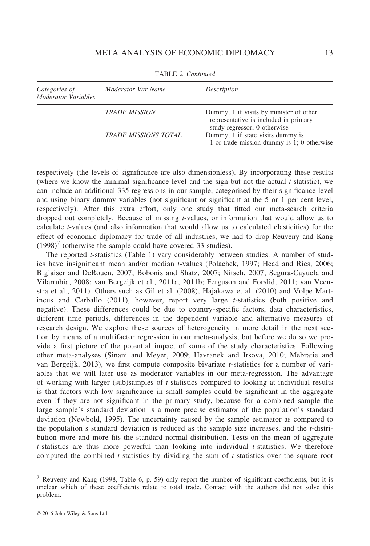| Categories of<br>Moderator Variables | Moderator Var Name          | Description                                                                                                      |
|--------------------------------------|-----------------------------|------------------------------------------------------------------------------------------------------------------|
|                                      | <b>TRADE MISSION</b>        | Dummy, 1 if visits by minister of other<br>representative is included in primary<br>study regressor; 0 otherwise |
|                                      | <b>TRADE MISSIONS TOTAL</b> | Dummy, 1 if state visits dummy is<br>1 or trade mission dummy is 1; 0 otherwise                                  |

TABLE 2 Continued

respectively (the levels of significance are also dimensionless). By incorporating these results (where we know the minimal significance level and the sign but not the actual t-statistic), we can include an additional 335 regressions in our sample, categorised by their significance level and using binary dummy variables (not significant or significant at the 5 or 1 per cent level, respectively). After this extra effort, only one study that fitted our meta-search criteria dropped out completely. Because of missing t-values, or information that would allow us to calculate t-values (and also information that would allow us to calculated elasticities) for the effect of economic diplomacy for trade of all industries, we had to drop Reuveny and Kang  $(1998)^7$  (otherwise the sample could have covered 33 studies).

The reported t-statistics (Table 1) vary considerably between studies. A number of studies have insignificant mean and/or median t-values (Polachek, 1997; Head and Ries, 2006; Biglaiser and DeRouen, 2007; Bobonis and Shatz, 2007; Nitsch, 2007; Segura-Cayuela and Vilarrubia, 2008; van Bergeijk et al., 2011a, 2011b; Ferguson and Forslid, 2011; van Veenstra et al., 2011). Others such as Gil et al. (2008), Hajakawa et al. (2010) and Volpe Martincus and Carballo  $(2011)$ , however, report very large *t*-statistics (both positive and negative). These differences could be due to country-specific factors, data characteristics, different time periods, differences in the dependent variable and alternative measures of research design. We explore these sources of heterogeneity in more detail in the next section by means of a multifactor regression in our meta-analysis, but before we do so we provide a first picture of the potential impact of some of the study characteristics. Following other meta-analyses (Sinani and Meyer, 2009; Havranek and Irsova, 2010; Mebratie and van Bergeijk, 2013), we first compute composite bivariate  $t$ -statistics for a number of variables that we will later use as moderator variables in our meta-regression. The advantage of working with larger (sub)samples of t-statistics compared to looking at individual results is that factors with low significance in small samples could be significant in the aggregate even if they are not significant in the primary study, because for a combined sample the large sample's standard deviation is a more precise estimator of the population's standard deviation (Newbold, 1995). The uncertainty caused by the sample estimator as compared to the population's standard deviation is reduced as the sample size increases, and the t-distribution more and more fits the standard normal distribution. Tests on the mean of aggregate  $t$ -statistics are thus more powerful than looking into individual  $t$ -statistics. We therefore computed the combined *t*-statistics by dividing the sum of *t*-statistics over the square root

<sup>7</sup> Reuveny and Kang (1998, Table 6, p. 59) only report the number of significant coefficients, but it is unclear which of these coefficients relate to total trade. Contact with the authors did not solve this problem.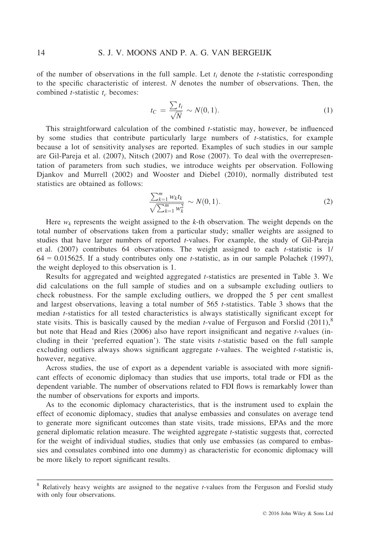of the number of observations in the full sample. Let  $t_i$  denote the t-statistic corresponding to the specific characteristic of interest. N denotes the number of observations. Then, the combined *t*-statistic  $t_c$  becomes:

$$
t_C = \frac{\sum t_i}{\sqrt{N}} \sim N(0, 1). \tag{1}
$$

This straightforward calculation of the combined  $t$ -statistic may, however, be influenced by some studies that contribute particularly large numbers of  $t$ -statistics, for example because a lot of sensitivity analyses are reported. Examples of such studies in our sample are Gil-Pareja et al. (2007), Nitsch (2007) and Rose (2007). To deal with the overrepresentation of parameters from such studies, we introduce weights per observation. Following Djankov and Murrell (2002) and Wooster and Diebel (2010), normally distributed test statistics are obtained as follows:

$$
\frac{\sum_{k=1}^{m} w_k t_k}{\sqrt{\sum_{k=1}^{m} w_k^2}} \sim N(0, 1). \tag{2}
$$

Here  $w_k$  represents the weight assigned to the k-th observation. The weight depends on the total number of observations taken from a particular study; smaller weights are assigned to studies that have larger numbers of reported t-values. For example, the study of Gil-Pareja et al.  $(2007)$  contributes 64 observations. The weight assigned to each *t*-statistic is  $1/$  $64 = 0.015625$ . If a study contributes only one *t*-statistic, as in our sample Polachek (1997), the weight deployed to this observation is 1.

Results for aggregated and weighted aggregated t-statistics are presented in Table 3. We did calculations on the full sample of studies and on a subsample excluding outliers to check robustness. For the sample excluding outliers, we dropped the 5 per cent smallest and largest observations, leaving a total number of 565 t-statistics. Table 3 shows that the median t-statistics for all tested characteristics is always statistically significant except for state visits. This is basically caused by the median *t*-value of Ferguson and Forslid  $(2011)^8$ but note that Head and Ries (2006) also have report insignificant and negative t-values (including in their 'preferred equation'). The state visits t-statistic based on the full sample excluding outliers always shows significant aggregate *t*-values. The weighted *t*-statistic is, however, negative.

Across studies, the use of export as a dependent variable is associated with more significant effects of economic diplomacy than studies that use imports, total trade or FDI as the dependent variable. The number of observations related to FDI flows is remarkably lower than the number of observations for exports and imports.

As to the economic diplomacy characteristics, that is the instrument used to explain the effect of economic diplomacy, studies that analyse embassies and consulates on average tend to generate more significant outcomes than state visits, trade missions, EPAs and the more general diplomatic relation measure. The weighted aggregate t-statistic suggests that, corrected for the weight of individual studies, studies that only use embassies (as compared to embassies and consulates combined into one dummy) as characteristic for economic diplomacy will be more likely to report significant results.

<sup>&</sup>lt;sup>8</sup> Relatively heavy weights are assigned to the negative t-values from the Ferguson and Forslid study with only four observations.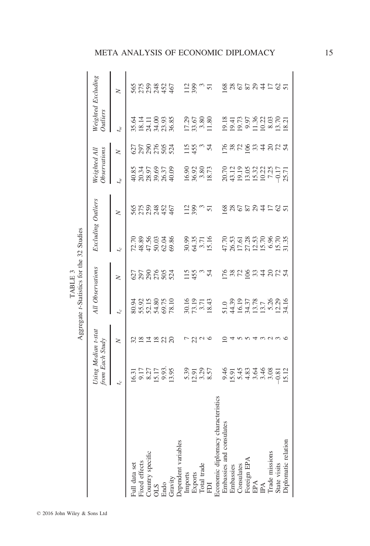|                                                                         |                                                 |                        | Aggregate t-Statistics for the 32 Studies                                           | TABLE 3       |                                                                |                           |                                                                                                                  |                   |                                                                   |                                            |
|-------------------------------------------------------------------------|-------------------------------------------------|------------------------|-------------------------------------------------------------------------------------|---------------|----------------------------------------------------------------|---------------------------|------------------------------------------------------------------------------------------------------------------|-------------------|-------------------------------------------------------------------|--------------------------------------------|
|                                                                         | Using Median t-stat<br>from Each Study          |                        | All Observations                                                                    |               |                                                                | <b>Excluding Outliers</b> | Observations<br>Weighted All                                                                                     |                   | Outliers                                                          | Weighted Excluding                         |
|                                                                         | $\mathcal{L}_{\mathcal{C}}$                     | $\geq$                 | $t_c$                                                                               | $\geq$        | $t_c$                                                          | $\geq$                    | r,                                                                                                               | $\geq$            | $t_w$                                                             | $\geq$                                     |
| Full data set                                                           |                                                 |                        |                                                                                     |               |                                                                |                           |                                                                                                                  |                   |                                                                   |                                            |
| Fixed effects                                                           | 16.31<br>9.17<br>9.27<br>15.17<br>9.95<br>13.95 | 21222                  | 80.94<br>55.92<br>54.80<br>54.80<br>78.10                                           | 55885534      | 72.70<br>48.86<br>47.56<br>50.03<br>69.86                      | SS<br>2533455             | 40.85<br>20.34<br>28.95<br>26.37<br>40.09                                                                        | 55885534          | 35.64<br>18.11<br>24.09<br>36.85<br>36.85                         | S<br>SA SA SA<br>SA SA SA                  |
|                                                                         |                                                 |                        |                                                                                     |               |                                                                |                           |                                                                                                                  |                   |                                                                   |                                            |
| Country specific<br>OLS                                                 |                                                 |                        |                                                                                     |               |                                                                |                           |                                                                                                                  |                   |                                                                   |                                            |
| Endo                                                                    |                                                 |                        |                                                                                     |               |                                                                |                           |                                                                                                                  |                   |                                                                   |                                            |
| Gravity                                                                 |                                                 |                        |                                                                                     |               |                                                                |                           |                                                                                                                  |                   |                                                                   |                                            |
|                                                                         |                                                 |                        |                                                                                     |               |                                                                |                           |                                                                                                                  |                   |                                                                   |                                            |
| Dependent variables<br>Imports<br>Exports<br>Total trade<br>Total trade |                                                 |                        | 30.16<br>73.17<br>18.43                                                             |               | 30.99<br>64.35<br>15.16                                        |                           | 16.90<br>36.92<br>18.73                                                                                          |                   | $17.29$<br>$3.36$<br>$3.80$<br>$1.38$<br>$1.30$                   |                                            |
|                                                                         |                                                 |                        |                                                                                     |               |                                                                |                           |                                                                                                                  |                   |                                                                   |                                            |
|                                                                         | $5.39$<br>$12.39$<br>$3.35$<br>$8.57$           | 7800                   |                                                                                     | $154^{\circ}$ |                                                                | $128^{\circ}$ 2           |                                                                                                                  | $156^{\circ}$ %   |                                                                   | $\frac{12}{3}$ $\frac{8}{3}$ $\frac{8}{3}$ |
|                                                                         |                                                 |                        |                                                                                     | 54            |                                                                |                           |                                                                                                                  |                   |                                                                   | $\overline{5}$                             |
| Economic diplomacy characteristics                                      |                                                 |                        |                                                                                     |               |                                                                |                           |                                                                                                                  |                   |                                                                   |                                            |
| Embassies and consulates                                                |                                                 |                        |                                                                                     |               |                                                                |                           |                                                                                                                  |                   |                                                                   |                                            |
| Embassies                                                               |                                                 |                        |                                                                                     |               |                                                                |                           |                                                                                                                  |                   |                                                                   |                                            |
| Consulates                                                              |                                                 |                        |                                                                                     |               |                                                                |                           |                                                                                                                  |                   |                                                                   |                                            |
| Foreign EPA EPA $_{\rm IPA}$                                            |                                                 |                        | $51.9$<br>$44.39$<br>$15.78$<br>$15.78$<br>$15.78$<br>$15.29$<br>$15.78$<br>$15.79$ | Esuberatura   | 47.70<br>26.53.33<br>26.71.71.70.90<br>26.71.71.71.71.31.31.31 | saczasztag                | $20.719$ $20.33$ $21.33$ $21.33$ $21.33$ $21.33$ $21.33$ $21.33$ $21.33$ $21.33$ $21.33$ $21.33$ $21.33$ $21.33$ | 5 x 5 5 x 4 8 5 4 | $\begin{array}{l} 218 \\ 219 \\ 219 \\ 229 \\ \hline \end{array}$ | 882234527                                  |
|                                                                         |                                                 | ᠴ                      |                                                                                     |               |                                                                |                           |                                                                                                                  |                   |                                                                   |                                            |
|                                                                         |                                                 |                        |                                                                                     |               |                                                                |                           |                                                                                                                  |                   |                                                                   |                                            |
| Trade missions<br>State visits                                          |                                                 | $\omega \omega \omega$ |                                                                                     |               |                                                                |                           |                                                                                                                  |                   |                                                                   |                                            |
|                                                                         |                                                 |                        |                                                                                     |               |                                                                |                           |                                                                                                                  |                   |                                                                   |                                            |
| Diplomatic relation                                                     |                                                 |                        |                                                                                     |               |                                                                |                           |                                                                                                                  |                   |                                                                   |                                            |

# META ANALYSIS OF ECONOMIC DIPLOMACY 15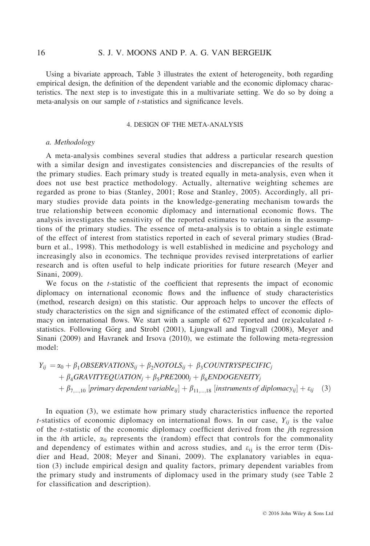## 16 S. J. V. MOONS AND P. A. G. VAN BERGEIJK

Using a bivariate approach, Table 3 illustrates the extent of heterogeneity, both regarding empirical design, the definition of the dependent variable and the economic diplomacy characteristics. The next step is to investigate this in a multivariate setting. We do so by doing a meta-analysis on our sample of t-statistics and significance levels.

#### 4. DESIGN OF THE META-ANALYSIS

#### a. Methodology

A meta-analysis combines several studies that address a particular research question with a similar design and investigates consistencies and discrepancies of the results of the primary studies. Each primary study is treated equally in meta-analysis, even when it does not use best practice methodology. Actually, alternative weighting schemes are regarded as prone to bias (Stanley, 2001; Rose and Stanley, 2005). Accordingly, all primary studies provide data points in the knowledge-generating mechanism towards the true relationship between economic diplomacy and international economic flows. The analysis investigates the sensitivity of the reported estimates to variations in the assumptions of the primary studies. The essence of meta-analysis is to obtain a single estimate of the effect of interest from statistics reported in each of several primary studies (Bradburn et al., 1998). This methodology is well established in medicine and psychology and increasingly also in economics. The technique provides revised interpretations of earlier research and is often useful to help indicate priorities for future research (Meyer and Sinani, 2009).

We focus on the t-statistic of the coefficient that represents the impact of economic diplomacy on international economic flows and the influence of study characteristics (method, research design) on this statistic. Our approach helps to uncover the effects of study characteristics on the sign and significance of the estimated effect of economic diplomacy on international flows. We start with a sample of 627 reported and (re)calculated  $t$ statistics. Following Görg and Strobl (2001), Ljungwall and Tingvall (2008), Meyer and Sinani (2009) and Havranek and Irsova (2010), we estimate the following meta-regression model:

$$
Y_{ij} = \alpha_0 + \beta_1 OBSERVATIONS_{ij} + \beta_2 NOTOLS_{ij} + \beta_3 COUNTRYSPECIFIC_j
$$
  
+  $\beta_4 GRAVITYEQUATION_j + \beta_5 PRE2000_j + \beta_6 ENDOGENEITY_j$   
+  $\beta_{7,\dots,10}$  [primary dependent variable<sub>ij</sub>] +  $\beta_{11,\dots,18}$  [instruments of diplomatic<sub>yi</sub>] +  $\varepsilon_{ij}$  (3)

In equation (3), we estimate how primary study characteristics influence the reported t-statistics of economic diplomacy on international flows. In our case,  $Y_{ii}$  is the value of the t-statistic of the economic diplomacy coefficient derived from the jth regression in the *i*th article,  $\alpha_0$  represents the (random) effect that controls for the commonality and dependency of estimates within and across studies, and  $\varepsilon_{ii}$  is the error term (Disdier and Head, 2008; Meyer and Sinani, 2009). The explanatory variables in equation (3) include empirical design and quality factors, primary dependent variables from the primary study and instruments of diplomacy used in the primary study (see Table 2 for classification and description).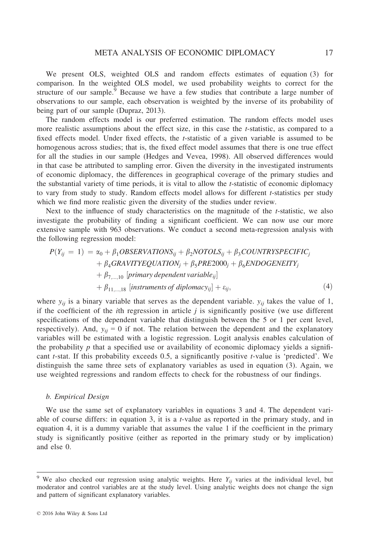We present OLS, weighted OLS and random effects estimates of equation (3) for comparison. In the weighted OLS model, we used probability weights to correct for the structure of our sample. $9$  Because we have a few studies that contribute a large number of observations to our sample, each observation is weighted by the inverse of its probability of being part of our sample (Dupraz, 2013).

The random effects model is our preferred estimation. The random effects model uses more realistic assumptions about the effect size, in this case the  $t$ -statistic, as compared to a fixed effects model. Under fixed effects, the *t*-statistic of a given variable is assumed to be homogenous across studies; that is, the fixed effect model assumes that there is one true effect for all the studies in our sample (Hedges and Vevea, 1998). All observed differences would in that case be attributed to sampling error. Given the diversity in the investigated instruments of economic diplomacy, the differences in geographical coverage of the primary studies and the substantial variety of time periods, it is vital to allow the t-statistic of economic diplomacy to vary from study to study. Random effects model allows for different t-statistics per study which we find more realistic given the diversity of the studies under review.

Next to the influence of study characteristics on the magnitude of the t-statistic, we also investigate the probability of finding a significant coefficient. We can now use our more extensive sample with 963 observations. We conduct a second meta-regression analysis with the following regression model:

$$
P(Y_{ij} = 1) = \alpha_0 + \beta_1 OBSERVATIONS_{ij} + \beta_2 NOTOLS_{ij} + \beta_3 COUNTRYSPECIFIC_j
$$
  
+  $\beta_4 GRAVITYEQUATION_j + \beta_5 PRE2000_j + \beta_6 ENDOGENEITY_j$   
+  $\beta_{7,\dots,10}$  [primary dependent variable<sub>ij</sub>]  
+  $\beta_{11,\dots,18}$  [instruments of diplomatic<sub>yi</sub>]  
(4)

where  $y_{ii}$  is a binary variable that serves as the dependent variable.  $y_{ii}$  takes the value of 1, if the coefficient of the *i*th regression in article  $j$  is significantly positive (we use different specifications of the dependent variable that distinguish between the 5 or 1 per cent level, respectively). And,  $y_{ii} = 0$  if not. The relation between the dependent and the explanatory variables will be estimated with a logistic regression. Logit analysis enables calculation of the probability  $p$  that a specified use or availability of economic diplomacy yields a significant  $t$ -stat. If this probability exceeds 0.5, a significantly positive  $t$ -value is 'predicted'. We distinguish the same three sets of explanatory variables as used in equation (3). Again, we use weighted regressions and random effects to check for the robustness of our findings.

#### b. Empirical Design

We use the same set of explanatory variables in equations 3 and 4. The dependent variable of course differs: in equation 3, it is a  $t$ -value as reported in the primary study, and in equation 4, it is a dummy variable that assumes the value 1 if the coefficient in the primary study is significantly positive (either as reported in the primary study or by implication) and else 0.

<sup>&</sup>lt;sup>9</sup> We also checked our regression using analytic weights. Here  $Y_{ij}$  varies at the individual level, but moderator and control variables are at the study level. Using analytic weights does not change the sign and pattern of significant explanatory variables.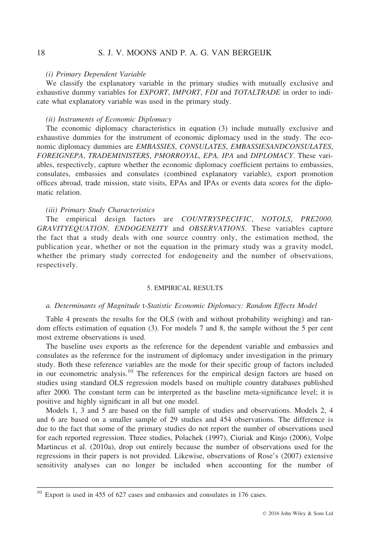# 18 S. J. V. MOONS AND P. A. G. VAN BERGEIJK

#### (i) Primary Dependent Variable

We classify the explanatory variable in the primary studies with mutually exclusive and exhaustive dummy variables for *EXPORT*, *IMPORT*, *FDI* and *TOTALTRADE* in order to indicate what explanatory variable was used in the primary study.

## (ii) Instruments of Economic Diplomacy

The economic diplomacy characteristics in equation (3) include mutually exclusive and exhaustive dummies for the instrument of economic diplomacy used in the study. The economic diplomacy dummies are EMBASSIES, CONSULATES, EMBASSIESANDCONSULATES, FOREIGNEPA, TRADEMINISTERS, PMORROYAL, EPA, IPA and DIPLOMACY. These variables, respectively, capture whether the economic diplomacy coefficient pertains to embassies, consulates, embassies and consulates (combined explanatory variable), export promotion offices abroad, trade mission, state visits, EPAs and IPAs or events data scores for the diplomatic relation.

#### (iii) Primary Study Characteristics

The empirical design factors are COUNTRYSPECIFIC, NOTOLS, PRE2000, GRAVITYEQUATION, ENDOGENEITY and OBSERVATIONS. These variables capture the fact that a study deals with one source country only, the estimation method, the publication year, whether or not the equation in the primary study was a gravity model, whether the primary study corrected for endogeneity and the number of observations, respectively.

#### 5. EMPIRICAL RESULTS

### a. Determinants of Magnitude t-Statistic Economic Diplomacy: Random Effects Model

Table 4 presents the results for the OLS (with and without probability weighing) and random effects estimation of equation (3). For models 7 and 8, the sample without the 5 per cent most extreme observations is used.

The baseline uses exports as the reference for the dependent variable and embassies and consulates as the reference for the instrument of diplomacy under investigation in the primary study. Both these reference variables are the mode for their specific group of factors included in our econometric analysis.<sup>10</sup> The references for the empirical design factors are based on studies using standard OLS regression models based on multiple country databases published after 2000. The constant term can be interpreted as the baseline meta-significance level; it is positive and highly significant in all but one model.

Models 1, 3 and 5 are based on the full sample of studies and observations. Models 2, 4 and 6 are based on a smaller sample of 29 studies and 454 observations. The difference is due to the fact that some of the primary studies do not report the number of observations used for each reported regression. Three studies, Polachek (1997), Ciuriak and Kinjo (2006), Volpe Martincus et al. (2010a), drop out entirely because the number of observations used for the regressions in their papers is not provided. Likewise, observations of Rose's (2007) extensive sensitivity analyses can no longer be included when accounting for the number of

 $10$  Export is used in 455 of 627 cases and embassies and consulates in 176 cases.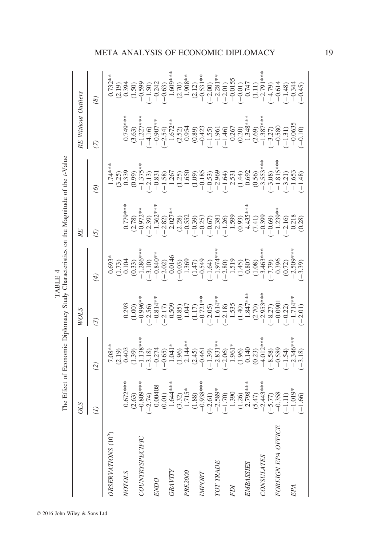|                                 |                                                                                                                                                                                                                                                                                                                                     | The Effect of Economic Diplomacy Study Characteristics on the Magnitude of the t-Value                                                                                                                                                                                                      |                                                                                                                                                                                                                                                                                                         | TABLE                                                                                                                                                                                                                                                                          |                                                                                                                                                                                                                                                                   |                                                                                                                                                                                                                                                                                                                                                                                                                                                                                         |                                                                                                                                                                                                                                |                                                                                                                                                                                                                                                                                                                     |
|---------------------------------|-------------------------------------------------------------------------------------------------------------------------------------------------------------------------------------------------------------------------------------------------------------------------------------------------------------------------------------|---------------------------------------------------------------------------------------------------------------------------------------------------------------------------------------------------------------------------------------------------------------------------------------------|---------------------------------------------------------------------------------------------------------------------------------------------------------------------------------------------------------------------------------------------------------------------------------------------------------|--------------------------------------------------------------------------------------------------------------------------------------------------------------------------------------------------------------------------------------------------------------------------------|-------------------------------------------------------------------------------------------------------------------------------------------------------------------------------------------------------------------------------------------------------------------|-----------------------------------------------------------------------------------------------------------------------------------------------------------------------------------------------------------------------------------------------------------------------------------------------------------------------------------------------------------------------------------------------------------------------------------------------------------------------------------------|--------------------------------------------------------------------------------------------------------------------------------------------------------------------------------------------------------------------------------|---------------------------------------------------------------------------------------------------------------------------------------------------------------------------------------------------------------------------------------------------------------------------------------------------------------------|
|                                 | STO<br>I                                                                                                                                                                                                                                                                                                                            |                                                                                                                                                                                                                                                                                             | <b>NOIS</b>                                                                                                                                                                                                                                                                                             |                                                                                                                                                                                                                                                                                | RE                                                                                                                                                                                                                                                                |                                                                                                                                                                                                                                                                                                                                                                                                                                                                                         | RE Without Outliers                                                                                                                                                                                                            |                                                                                                                                                                                                                                                                                                                     |
|                                 |                                                                                                                                                                                                                                                                                                                                     | $\widetilde{c}$                                                                                                                                                                                                                                                                             | ଚି                                                                                                                                                                                                                                                                                                      | E)                                                                                                                                                                                                                                                                             | Ω,                                                                                                                                                                                                                                                                | $\circledcirc$                                                                                                                                                                                                                                                                                                                                                                                                                                                                          | E                                                                                                                                                                                                                              | $\circledS$                                                                                                                                                                                                                                                                                                         |
| OBSERVATIONS (10 <sup>5</sup> ) |                                                                                                                                                                                                                                                                                                                                     |                                                                                                                                                                                                                                                                                             |                                                                                                                                                                                                                                                                                                         |                                                                                                                                                                                                                                                                                |                                                                                                                                                                                                                                                                   |                                                                                                                                                                                                                                                                                                                                                                                                                                                                                         |                                                                                                                                                                                                                                |                                                                                                                                                                                                                                                                                                                     |
| NOTOLS                          |                                                                                                                                                                                                                                                                                                                                     |                                                                                                                                                                                                                                                                                             |                                                                                                                                                                                                                                                                                                         |                                                                                                                                                                                                                                                                                |                                                                                                                                                                                                                                                                   |                                                                                                                                                                                                                                                                                                                                                                                                                                                                                         |                                                                                                                                                                                                                                |                                                                                                                                                                                                                                                                                                                     |
| COUNTRYSPECIFIC                 | $\begin{array}{l} 0.677^{***} \\ (2.63) \\ (2.63) \\ (3.60) \\ (4.61) \\ (5.74) \\ (7.41) \\ (9.62) \\ (1.64) \\ (1.64) \\ (1.63) \\ (1.64) \\ (1.65) \\ (1.65) \\ (1.67) \\ (1.68) \\ (1.69) \\ (1.60) \\ (1.60) \\ (1.61) \\ (1.61) \\ (1.62) \\ (1.63) \\ (1.64) \\ (1.65) \\ (1.67) \\ (1.68) \\ (1.69) \\ (1.61) \\ (1.61) \\$ | $7.08$<br>(8)<br>(3.9)<br>(3.9)<br>(3.9)<br>(3.9)<br>(3.9)<br>(3.9)<br>(3.9)<br>(3.9)<br>(3.9)<br>(3.9)<br>(5.9)<br>(5.9)<br>(5.9)<br>(5.9)<br>(5.9)<br>(5.9)<br>(5.9)<br>(5.9)<br>(5.9)<br>(5.9)<br>(5.9)<br>(5.9)<br>(5.9)<br>(5.9)<br>(5.9)<br>(5.9)<br>(5.9)<br>(5.9)<br>(5.9)<br>(5.9) | $\begin{array}{c} 333\\[-2.0ex] 0.000\\[-2.0ex] -0.000\\[-2.0ex] -0.000\\[-2.0ex] -0.000\\[-2.0ex] -0.000\\[-2.0ex] -0.000\\[-2.0ex] -0.000\\[-2.0ex] -0.000\\[-2.0ex] -0.000\\[-2.0ex] -0.000\\[-2.0ex] -0.000\\[-2.0ex] -0.000\\[-2.0ex] -0.000\\[-2.0ex] -0.000\\[-2.0ex] -0.000\\[-2.0ex] -0.000\\$ | $0.693$<br>$0.773$<br>$0.773$<br>$0.775$<br>$0.775$<br>$0.775$<br>$0.775$<br>$0.775$<br>$0.775$<br>$0.775$<br>$0.775$<br>$0.775$<br>$0.775$<br>$0.775$<br>$0.775$<br>$0.775$<br>$0.775$<br>$0.775$<br>$0.775$<br>$0.775$<br>$0.775$<br>$0.775$<br>$0.775$<br>$0.775$<br>$0.77$ | $\begin{array}{l} 7798\\ 0.7798\\ 0.9728\\ 0.9728\\ 0.9728\\ 0.9728\\ 0.9728\\ 0.9728\\ 0.9728\\ 0.9728\\ 0.9728\\ 0.9728\\ 0.9728\\ 0.9728\\ 0.9728\\ 0.9728\\ 0.9728\\ 0.9728\\ 0.9728\\ 0.9728\\ 0.9728\\ 0.9728\\ 0.9728\\ 0.9728\\ 0.9728\\ 0.9728\\ 0.9728$ | $\begin{array}{l} \stackrel{***}{74} \stackrel{***}{74} \stackrel{***}{74} \stackrel{***}{74} \stackrel{***}{74} \stackrel{***}{74} \stackrel{***}{74} \stackrel{***}{74} \stackrel{***}{74} \stackrel{***}{74} \stackrel{***}{74} \stackrel{***}{74} \stackrel{***}{74} \stackrel{***}{74} \stackrel{***}{74} \stackrel{***}{74} \stackrel{***}{74} \stackrel{***}{74} \stackrel{***}{74} \stackrel{***}{74} \stackrel{***}{74} \stackrel{***}{74} \stackrel{***}{74} \stackrel{***}{$ | $0.749$ $0.749$ $0.754$ $0.754$ $0.754$ $0.754$ $0.754$ $0.754$ $0.754$ $0.754$ $0.754$ $0.754$ $0.754$ $0.754$ $0.754$ $0.754$ $0.754$ $0.754$ $0.754$ $0.754$ $0.754$ $0.754$ $0.754$ $0.754$ $0.754$ $0.754$ $0.754$ $0.75$ | $\begin{array}{l} \n 773.33 \\ \n 0.934 \\ \n 0.940 \\ \n 0.950 \\ \n 0.974 \\ \n 0.99 \\ \n 0.99 \\ \n 0.90 \\ \n 0.91 \\ \n 0.92 \\ \n 0.93 \\ \n 0.94 \\ \n 0.93 \\ \n 0.93 \\ \n 0.93 \\ \n 0.93 \\ \n 0.93 \\ \n 0.93 \\ \n 0.93 \\ \n 0.93 \\ \n 0.93 \\ \n 0.93 \\ \n 0.93 \\ \n 0.93 \\ \n 0.93 \\ \n 0.93$ |
|                                 |                                                                                                                                                                                                                                                                                                                                     |                                                                                                                                                                                                                                                                                             |                                                                                                                                                                                                                                                                                                         |                                                                                                                                                                                                                                                                                |                                                                                                                                                                                                                                                                   |                                                                                                                                                                                                                                                                                                                                                                                                                                                                                         |                                                                                                                                                                                                                                |                                                                                                                                                                                                                                                                                                                     |
| ENDO                            |                                                                                                                                                                                                                                                                                                                                     |                                                                                                                                                                                                                                                                                             |                                                                                                                                                                                                                                                                                                         |                                                                                                                                                                                                                                                                                |                                                                                                                                                                                                                                                                   |                                                                                                                                                                                                                                                                                                                                                                                                                                                                                         |                                                                                                                                                                                                                                |                                                                                                                                                                                                                                                                                                                     |
|                                 |                                                                                                                                                                                                                                                                                                                                     |                                                                                                                                                                                                                                                                                             |                                                                                                                                                                                                                                                                                                         |                                                                                                                                                                                                                                                                                |                                                                                                                                                                                                                                                                   |                                                                                                                                                                                                                                                                                                                                                                                                                                                                                         |                                                                                                                                                                                                                                |                                                                                                                                                                                                                                                                                                                     |
| <b>GRAVITY</b>                  |                                                                                                                                                                                                                                                                                                                                     |                                                                                                                                                                                                                                                                                             |                                                                                                                                                                                                                                                                                                         |                                                                                                                                                                                                                                                                                |                                                                                                                                                                                                                                                                   |                                                                                                                                                                                                                                                                                                                                                                                                                                                                                         |                                                                                                                                                                                                                                |                                                                                                                                                                                                                                                                                                                     |
| <b>PRE2000</b>                  |                                                                                                                                                                                                                                                                                                                                     |                                                                                                                                                                                                                                                                                             |                                                                                                                                                                                                                                                                                                         |                                                                                                                                                                                                                                                                                |                                                                                                                                                                                                                                                                   |                                                                                                                                                                                                                                                                                                                                                                                                                                                                                         |                                                                                                                                                                                                                                |                                                                                                                                                                                                                                                                                                                     |
|                                 |                                                                                                                                                                                                                                                                                                                                     |                                                                                                                                                                                                                                                                                             |                                                                                                                                                                                                                                                                                                         |                                                                                                                                                                                                                                                                                |                                                                                                                                                                                                                                                                   |                                                                                                                                                                                                                                                                                                                                                                                                                                                                                         |                                                                                                                                                                                                                                |                                                                                                                                                                                                                                                                                                                     |
| IMPORT                          |                                                                                                                                                                                                                                                                                                                                     |                                                                                                                                                                                                                                                                                             |                                                                                                                                                                                                                                                                                                         |                                                                                                                                                                                                                                                                                |                                                                                                                                                                                                                                                                   |                                                                                                                                                                                                                                                                                                                                                                                                                                                                                         |                                                                                                                                                                                                                                |                                                                                                                                                                                                                                                                                                                     |
|                                 |                                                                                                                                                                                                                                                                                                                                     |                                                                                                                                                                                                                                                                                             |                                                                                                                                                                                                                                                                                                         |                                                                                                                                                                                                                                                                                |                                                                                                                                                                                                                                                                   |                                                                                                                                                                                                                                                                                                                                                                                                                                                                                         |                                                                                                                                                                                                                                |                                                                                                                                                                                                                                                                                                                     |
| TOT TRADE                       |                                                                                                                                                                                                                                                                                                                                     |                                                                                                                                                                                                                                                                                             |                                                                                                                                                                                                                                                                                                         |                                                                                                                                                                                                                                                                                |                                                                                                                                                                                                                                                                   |                                                                                                                                                                                                                                                                                                                                                                                                                                                                                         |                                                                                                                                                                                                                                |                                                                                                                                                                                                                                                                                                                     |
| FDI                             |                                                                                                                                                                                                                                                                                                                                     |                                                                                                                                                                                                                                                                                             |                                                                                                                                                                                                                                                                                                         |                                                                                                                                                                                                                                                                                |                                                                                                                                                                                                                                                                   |                                                                                                                                                                                                                                                                                                                                                                                                                                                                                         |                                                                                                                                                                                                                                |                                                                                                                                                                                                                                                                                                                     |
|                                 |                                                                                                                                                                                                                                                                                                                                     |                                                                                                                                                                                                                                                                                             |                                                                                                                                                                                                                                                                                                         |                                                                                                                                                                                                                                                                                |                                                                                                                                                                                                                                                                   |                                                                                                                                                                                                                                                                                                                                                                                                                                                                                         |                                                                                                                                                                                                                                |                                                                                                                                                                                                                                                                                                                     |
| EMBASSIES                       |                                                                                                                                                                                                                                                                                                                                     |                                                                                                                                                                                                                                                                                             |                                                                                                                                                                                                                                                                                                         |                                                                                                                                                                                                                                                                                |                                                                                                                                                                                                                                                                   |                                                                                                                                                                                                                                                                                                                                                                                                                                                                                         |                                                                                                                                                                                                                                |                                                                                                                                                                                                                                                                                                                     |
|                                 |                                                                                                                                                                                                                                                                                                                                     |                                                                                                                                                                                                                                                                                             |                                                                                                                                                                                                                                                                                                         |                                                                                                                                                                                                                                                                                |                                                                                                                                                                                                                                                                   |                                                                                                                                                                                                                                                                                                                                                                                                                                                                                         |                                                                                                                                                                                                                                |                                                                                                                                                                                                                                                                                                                     |
| <b>CONSULATES</b>               |                                                                                                                                                                                                                                                                                                                                     |                                                                                                                                                                                                                                                                                             |                                                                                                                                                                                                                                                                                                         |                                                                                                                                                                                                                                                                                |                                                                                                                                                                                                                                                                   |                                                                                                                                                                                                                                                                                                                                                                                                                                                                                         |                                                                                                                                                                                                                                |                                                                                                                                                                                                                                                                                                                     |
|                                 |                                                                                                                                                                                                                                                                                                                                     |                                                                                                                                                                                                                                                                                             |                                                                                                                                                                                                                                                                                                         |                                                                                                                                                                                                                                                                                |                                                                                                                                                                                                                                                                   |                                                                                                                                                                                                                                                                                                                                                                                                                                                                                         |                                                                                                                                                                                                                                |                                                                                                                                                                                                                                                                                                                     |
| FOREIGN EPA OFFICE              |                                                                                                                                                                                                                                                                                                                                     |                                                                                                                                                                                                                                                                                             |                                                                                                                                                                                                                                                                                                         |                                                                                                                                                                                                                                                                                |                                                                                                                                                                                                                                                                   |                                                                                                                                                                                                                                                                                                                                                                                                                                                                                         |                                                                                                                                                                                                                                |                                                                                                                                                                                                                                                                                                                     |
| EPA                             |                                                                                                                                                                                                                                                                                                                                     |                                                                                                                                                                                                                                                                                             |                                                                                                                                                                                                                                                                                                         |                                                                                                                                                                                                                                                                                |                                                                                                                                                                                                                                                                   |                                                                                                                                                                                                                                                                                                                                                                                                                                                                                         |                                                                                                                                                                                                                                |                                                                                                                                                                                                                                                                                                                     |
|                                 |                                                                                                                                                                                                                                                                                                                                     |                                                                                                                                                                                                                                                                                             |                                                                                                                                                                                                                                                                                                         |                                                                                                                                                                                                                                                                                |                                                                                                                                                                                                                                                                   |                                                                                                                                                                                                                                                                                                                                                                                                                                                                                         |                                                                                                                                                                                                                                |                                                                                                                                                                                                                                                                                                                     |

META ANALYSIS OF ECONOMIC DIPLOMACY 19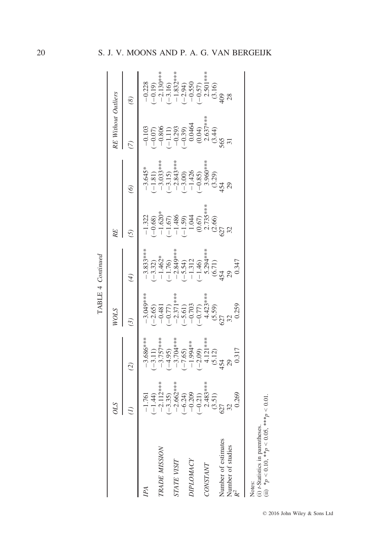|                     |                                                                                                                                       |                                                                                                                                                                                                                                                                                                                                                                    |                                                                                                                                                                           | TABLE 4 Continued                                                                                                                                       |                                                                                                                                                                                       |                                                                                                                                                                                |                                                                                                                                                                                                                                                                                                                                                      |                                                                                                                                                                                      |
|---------------------|---------------------------------------------------------------------------------------------------------------------------------------|--------------------------------------------------------------------------------------------------------------------------------------------------------------------------------------------------------------------------------------------------------------------------------------------------------------------------------------------------------------------|---------------------------------------------------------------------------------------------------------------------------------------------------------------------------|---------------------------------------------------------------------------------------------------------------------------------------------------------|---------------------------------------------------------------------------------------------------------------------------------------------------------------------------------------|--------------------------------------------------------------------------------------------------------------------------------------------------------------------------------|------------------------------------------------------------------------------------------------------------------------------------------------------------------------------------------------------------------------------------------------------------------------------------------------------------------------------------------------------|--------------------------------------------------------------------------------------------------------------------------------------------------------------------------------------|
|                     | STL                                                                                                                                   |                                                                                                                                                                                                                                                                                                                                                                    | <b>NOTS</b>                                                                                                                                                               |                                                                                                                                                         | RE                                                                                                                                                                                    |                                                                                                                                                                                | <b>RE Without Outliers</b>                                                                                                                                                                                                                                                                                                                           |                                                                                                                                                                                      |
|                     |                                                                                                                                       | $\widetilde{c}$                                                                                                                                                                                                                                                                                                                                                    | $\overline{3}$                                                                                                                                                            | $\left( 4\right)$                                                                                                                                       | $\overline{5}$                                                                                                                                                                        | $\circledcirc$                                                                                                                                                                 | $\widetilde{\mathcal{L}}$                                                                                                                                                                                                                                                                                                                            | (8)                                                                                                                                                                                  |
| PА                  | $-1.761$                                                                                                                              |                                                                                                                                                                                                                                                                                                                                                                    |                                                                                                                                                                           | $-3.833***$                                                                                                                                             |                                                                                                                                                                                       |                                                                                                                                                                                |                                                                                                                                                                                                                                                                                                                                                      |                                                                                                                                                                                      |
| TRADE MISSION       | $(-1.44)$<br>$(-2.112**$<br>$(-3.35)$<br>$(-3.362**$<br>$(-6.24)$<br>$(-6.21)$<br>$(-0.21)$<br>$(-0.367**$<br>$(-0.21)$<br>$(-0.367)$ |                                                                                                                                                                                                                                                                                                                                                                    | $\begin{array}{r} -3.049**\\ (-2.65)\\ (-0.481\\ (-0.77)\\ (-0.71)\\ (-5.61)\\ (-5.61)\\ (-5.61)\\ (-0.70)\\ (-0.70)\\ (-0.70)\\ (-0.70)\\ (-0.70)\\ 62\\ 32 \end{array}$ | $(-3.32)$<br>$-1.462$<br>$(-1.76)$<br>$(-1.76)$<br>$(-5.84)$<br>$(-5.54)$<br>$(-1.46)$<br>$(-1.46)$<br>$(-1.46)$<br>$(-1.46)$<br>$(-1.46)$<br>$(-1.46)$ | $-1.322$<br>$(-9.68)$<br>$(-1.67)$<br>$-1.486$<br>$(-1.59)$<br>$-1.486$<br>$-1.59$<br>$-1.59$<br>$-1.59$<br>$-1.59$<br>$-1.59$<br>$-1.59$<br>$-1.59$<br>$-1.59$<br>$-1.59$<br>$-1.59$ | $7\overline{3.03}$<br>$(-1.81)$<br>$(-3.03)$<br>$(-3.15)$<br>$(-3.43)$<br>$(-3.42)$<br>$(-3.42)$<br>$(-3.42)$<br>$(-3.42)$<br>$(-3.42)$<br>$(-3.42)$<br>$(-3.42)$<br>$(-3.42)$ | $\begin{array}{l} -0.103 \\ (-0.07) \\ (-0.306) \\ (-1.11) \\ (-0.293) \\ (-0.39) \\ (-0.044) \\ (-0.044) \\ (-0.044) \\ (-0.044) \\ (-0.044) \\ (-0.044) \\ (-0.044) \\ (-0.044) \\ (-0.044) \\ (-0.044) \\ (-0.044) \\ (-0.044) \\ (-0.044) \\ (-0.044) \\ (-0.044) \\ (-0.044) \\ (-0.044) \\ (-0.044) \\ (-0.044) \\ (-0.044) \\ (-0.044) \\ (-$ | $\begin{array}{r} -0.238 \\ (-0.19) \\ (-3.130^{***} \\ (-3.16) \\ (-3.130^{***} \\ (-2.394) \\ (-2.500 \\ (-0.57) \\ (-0.50) \\ (3.16) \\ 2.50 \\ (3.16) \\ 2.8 \\ 2.8 \end{array}$ |
| <b>STATE VISIT</b>  |                                                                                                                                       |                                                                                                                                                                                                                                                                                                                                                                    |                                                                                                                                                                           |                                                                                                                                                         |                                                                                                                                                                                       |                                                                                                                                                                                |                                                                                                                                                                                                                                                                                                                                                      |                                                                                                                                                                                      |
| NPLOMACY            |                                                                                                                                       |                                                                                                                                                                                                                                                                                                                                                                    |                                                                                                                                                                           |                                                                                                                                                         |                                                                                                                                                                                       |                                                                                                                                                                                |                                                                                                                                                                                                                                                                                                                                                      |                                                                                                                                                                                      |
| <b>CONSTANT</b>     |                                                                                                                                       |                                                                                                                                                                                                                                                                                                                                                                    |                                                                                                                                                                           |                                                                                                                                                         |                                                                                                                                                                                       |                                                                                                                                                                                |                                                                                                                                                                                                                                                                                                                                                      |                                                                                                                                                                                      |
|                     |                                                                                                                                       |                                                                                                                                                                                                                                                                                                                                                                    |                                                                                                                                                                           |                                                                                                                                                         |                                                                                                                                                                                       |                                                                                                                                                                                |                                                                                                                                                                                                                                                                                                                                                      |                                                                                                                                                                                      |
| Number of estimates |                                                                                                                                       |                                                                                                                                                                                                                                                                                                                                                                    |                                                                                                                                                                           |                                                                                                                                                         |                                                                                                                                                                                       |                                                                                                                                                                                |                                                                                                                                                                                                                                                                                                                                                      |                                                                                                                                                                                      |
| Number of studies   | 0.269                                                                                                                                 | $\begin{array}{r} -3.686^{***} \\ (-3.11) \\ (-3.757^{***} \\ (-4.95) \\ (-7.66) \\ (-7.63) \\ (-7.65) \\ (-7.63) \\ (-1.21) \\ (-2.11) \\ (-3.12) \\ (-3.11) \\ (-3.11) \\ (-3.11) \\ (-3.11) \\ (-3.11) \\ (-3.11) \\ (-3.11) \\ (-3.11) \\ (-3.11) \\ (-3.11) \\ (-3.11) \\ (-3.11) \\ (-3.11) \\ (-3.11) \\ (-3.11) \\ (-3.11) \\ (-3.11) \\ (-3.11) \\ (-3.1$ | 0.259                                                                                                                                                                     | 0.347                                                                                                                                                   |                                                                                                                                                                                       |                                                                                                                                                                                |                                                                                                                                                                                                                                                                                                                                                      |                                                                                                                                                                                      |
| Notes:              |                                                                                                                                       |                                                                                                                                                                                                                                                                                                                                                                    |                                                                                                                                                                           |                                                                                                                                                         |                                                                                                                                                                                       |                                                                                                                                                                                |                                                                                                                                                                                                                                                                                                                                                      |                                                                                                                                                                                      |

(i) t-Statistics in parentheses. (ii)  $* p < 0.10$ ,  $* p < 0.05$ ,  $* * p < 0.01$ .

20 S. J. V. MOONS AND P. A. G. VAN BERGEIJK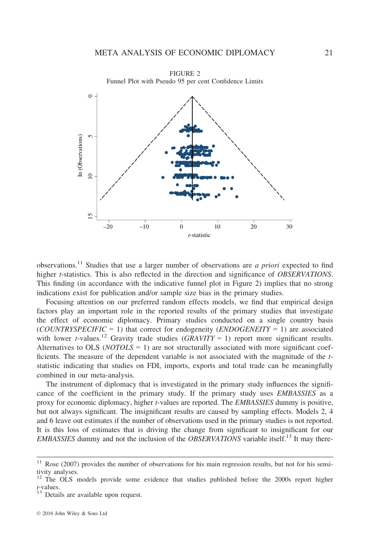

FIGURE 2 Funnel Plot with Pseudo 95 per cent Confidence Limits

observations.<sup>11</sup> Studies that use a larger number of observations are *a priori* expected to find higher *t*-statistics. This is also reflected in the direction and significance of *OBSERVATIONS*. This finding (in accordance with the indicative funnel plot in Figure 2) implies that no strong indications exist for publication and/or sample size bias in the primary studies.

Focusing attention on our preferred random effects models, we find that empirical design factors play an important role in the reported results of the primary studies that investigate the effect of economic diplomacy. Primary studies conducted on a single country basis  $(COUNTRYSPECIFIC = 1)$  that correct for endogeneity  $(ENDOGENEITY = 1)$  are associated with lower *t*-values.<sup>12</sup> Gravity trade studies  $(GRAVITY = 1)$  report more significant results. Alternatives to OLS ( $NOTOLS = 1$ ) are not structurally associated with more significant coefficients. The measure of the dependent variable is not associated with the magnitude of the tstatistic indicating that studies on FDI, imports, exports and total trade can be meaningfully combined in our meta-analysis.

The instrument of diplomacy that is investigated in the primary study influences the significance of the coefficient in the primary study. If the primary study uses EMBASSIES as a proxy for economic diplomacy, higher t-values are reported. The *EMBASSIES* dummy is positive, but not always significant. The insignificant results are caused by sampling effects. Models 2, 4 and 6 leave out estimates if the number of observations used in the primary studies is not reported. It is this loss of estimates that is driving the change from significant to insignificant for our EMBASSIES dummy and not the inclusion of the OBSERVATIONS variable itself.<sup>13</sup> It may there-

 $11$  Rose (2007) provides the number of observations for his main regression results, but not for his sensitivity analyses. <sup>12</sup> The OLS models provide some evidence that studies published before the 2000s report higher

t-values.

<sup>&</sup>lt;sup>13</sup> Details are available upon request.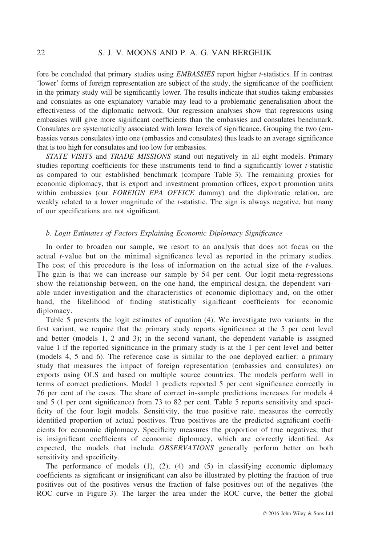fore be concluded that primary studies using *EMBASSIES* report higher *t*-statistics. If in contrast 'lower' forms of foreign representation are subject of the study, the significance of the coefficient in the primary study will be significantly lower. The results indicate that studies taking embassies and consulates as one explanatory variable may lead to a problematic generalisation about the effectiveness of the diplomatic network. Our regression analyses show that regressions using embassies will give more significant coefficients than the embassies and consulates benchmark. Consulates are systematically associated with lower levels of significance. Grouping the two (embassies versus consulates) into one (embassies and consulates) thus leads to an average significance that is too high for consulates and too low for embassies.

STATE VISITS and TRADE MISSIONS stand out negatively in all eight models. Primary studies reporting coefficients for these instruments tend to find a significantly lower *t*-statistic as compared to our established benchmark (compare Table 3). The remaining proxies for economic diplomacy, that is export and investment promotion offices, export promotion units within embassies (our FOREIGN EPA OFFICE dummy) and the diplomatic relation, are weakly related to a lower magnitude of the t-statistic. The sign is always negative, but many of our specifications are not significant.

## b. Logit Estimates of Factors Explaining Economic Diplomacy Significance

In order to broaden our sample, we resort to an analysis that does not focus on the actual t-value but on the minimal significance level as reported in the primary studies. The cost of this procedure is the loss of information on the actual size of the t-values. The gain is that we can increase our sample by 54 per cent. Our logit meta-regressions show the relationship between, on the one hand, the empirical design, the dependent variable under investigation and the characteristics of economic diplomacy and, on the other hand, the likelihood of finding statistically significant coefficients for economic diplomacy.

Table 5 presents the logit estimates of equation (4). We investigate two variants: in the first variant, we require that the primary study reports significance at the 5 per cent level and better (models 1, 2 and 3); in the second variant, the dependent variable is assigned value 1 if the reported significance in the primary study is at the 1 per cent level and better (models 4, 5 and 6). The reference case is similar to the one deployed earlier: a primary study that measures the impact of foreign representation (embassies and consulates) on exports using OLS and based on multiple source countries. The models perform well in terms of correct predictions. Model 1 predicts reported 5 per cent significance correctly in 76 per cent of the cases. The share of correct in-sample predictions increases for models 4 and 5 (1 per cent significance) from 73 to 82 per cent. Table 5 reports sensitivity and specificity of the four logit models. Sensitivity, the true positive rate, measures the correctly identified proportion of actual positives. True positives are the predicted significant coefficients for economic diplomacy. Specificity measures the proportion of true negatives, that is insignificant coefficients of economic diplomacy, which are correctly identified. As expected, the models that include OBSERVATIONS generally perform better on both sensitivity and specificity.

The performance of models (1), (2), (4) and (5) in classifying economic diplomacy coefficients as significant or insignificant can also be illustrated by plotting the fraction of true positives out of the positives versus the fraction of false positives out of the negatives (the ROC curve in Figure 3). The larger the area under the ROC curve, the better the global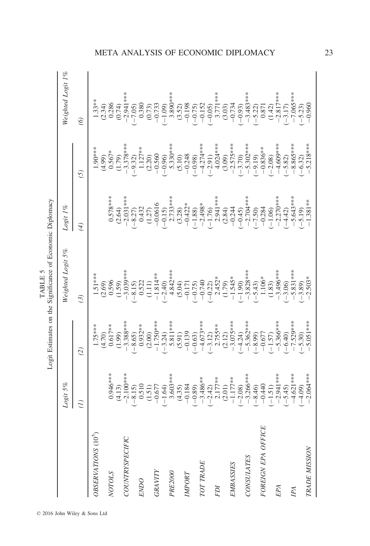|                                 |                                                                                                                                                                                                                                                                     |                                                                                                                                                                                                                                                                                   | Logit Estimates on the Significance of Economic Diplomacy<br>TABLE 5                                                                                                                                                                                                                                                         |                                                                                                                                                                                                                                                                                                                                  |                                                                                                                                                                                                                                                                                                                                      |                                                                                                                                                                                                                                                                                                                                     |
|---------------------------------|---------------------------------------------------------------------------------------------------------------------------------------------------------------------------------------------------------------------------------------------------------------------|-----------------------------------------------------------------------------------------------------------------------------------------------------------------------------------------------------------------------------------------------------------------------------------|------------------------------------------------------------------------------------------------------------------------------------------------------------------------------------------------------------------------------------------------------------------------------------------------------------------------------|----------------------------------------------------------------------------------------------------------------------------------------------------------------------------------------------------------------------------------------------------------------------------------------------------------------------------------|--------------------------------------------------------------------------------------------------------------------------------------------------------------------------------------------------------------------------------------------------------------------------------------------------------------------------------------|-------------------------------------------------------------------------------------------------------------------------------------------------------------------------------------------------------------------------------------------------------------------------------------------------------------------------------------|
|                                 | Logit 5%                                                                                                                                                                                                                                                            |                                                                                                                                                                                                                                                                                   | Weighted Logit 5%                                                                                                                                                                                                                                                                                                            | $Logit$ 1%                                                                                                                                                                                                                                                                                                                       |                                                                                                                                                                                                                                                                                                                                      | Weighted Logit 1%                                                                                                                                                                                                                                                                                                                   |
|                                 | $\overline{C}$                                                                                                                                                                                                                                                      | $\widetilde{\mathcal{C}}$                                                                                                                                                                                                                                                         | (3)                                                                                                                                                                                                                                                                                                                          | $\overline{f}$                                                                                                                                                                                                                                                                                                                   | $\overline{5}$                                                                                                                                                                                                                                                                                                                       | $\widehat{\circ}$                                                                                                                                                                                                                                                                                                                   |
| OBSERVATIONS (10 <sup>5</sup> ) |                                                                                                                                                                                                                                                                     |                                                                                                                                                                                                                                                                                   |                                                                                                                                                                                                                                                                                                                              |                                                                                                                                                                                                                                                                                                                                  |                                                                                                                                                                                                                                                                                                                                      |                                                                                                                                                                                                                                                                                                                                     |
|                                 |                                                                                                                                                                                                                                                                     |                                                                                                                                                                                                                                                                                   |                                                                                                                                                                                                                                                                                                                              |                                                                                                                                                                                                                                                                                                                                  |                                                                                                                                                                                                                                                                                                                                      |                                                                                                                                                                                                                                                                                                                                     |
| NOTOLS                          |                                                                                                                                                                                                                                                                     |                                                                                                                                                                                                                                                                                   |                                                                                                                                                                                                                                                                                                                              |                                                                                                                                                                                                                                                                                                                                  |                                                                                                                                                                                                                                                                                                                                      |                                                                                                                                                                                                                                                                                                                                     |
| COUNTRYSPECIFIC                 |                                                                                                                                                                                                                                                                     | 1.75***<br>(4.70)<br>(0.617**<br>(1.99)<br>(-8.65)<br>(-8.65)                                                                                                                                                                                                                     |                                                                                                                                                                                                                                                                                                                              |                                                                                                                                                                                                                                                                                                                                  |                                                                                                                                                                                                                                                                                                                                      |                                                                                                                                                                                                                                                                                                                                     |
| ENDO                            | $0.946**$ $0.946**$ $-2.100**$ $-3.500$ $-4.500***$ $-3.500$ $-4.500***$ $-4.500***$ $-4.500***$ $-4.500***$ $-4.500***$ $-4.500***$ $-4.500***$ $-4.500***$ $-4.500***$ $-4.500***$ $-4.500***$ $-4.500***$ $-4.500***$ $-4.500***$ $-4.500***$ $-4.500***$ $-4.5$ |                                                                                                                                                                                                                                                                                   | $\begin{array}{l} 1.51**\\[-4pt] -1.59\\[-4pt] -1.59\\[-4pt] -1.59\\[-4pt] -1.59\\[-4pt] -1.59\\[-4pt] -1.59\\[-4pt] -1.59\\[-4pt] -1.59\\[-4pt] -1.59\\[-4pt] -1.59\\[-4pt] -1.59\\[-4pt] -1.59\\[-4pt] -1.59\\[-4pt] -1.59\\[-4pt] -1.59\\[-4pt] -1.59\\[-4pt] -1.59\\[-4pt] -1.59\\[-4pt] -1.59\\[-4pt] -1.59\\[-4pt] -1$ | $\begin{array}{l} 6.578**\\ 0.640\\ -2.031**\\ (-8.27)\\ (-8.27)\\ (-9.12)\\ (-9.12)\\ (-9.12)\\ (-9.12)\\ (-9.12)\\ (-9.12)\\ (-9.12)\\ (-9.12)\\ (-9.12)\\ (-9.12)\\ (-9.12)\\ (-9.12)\\ (-9.12)\\ (-9.12)\\ (-9.12)\\ (-9.12)\\ (-9.12)\\ (-9.12)\\ (-9.12)\\ (-9.12)\\ (-9.12)\\ (-9.12)\\ (-9.12)\\ (-9.12)\\ (-9.12)\\ (-$ | $\begin{array}{l} 1.90^{***} \\ (4.90) \\ (1.79) \\ (1.79) \\ (1.79) \\ (1.79) \\ (1.79) \\ (1.79) \\ (1.79) \\ (1.79) \\ (1.79) \\ (1.79) \\ (1.79) \\ (1.70) \\ (1.70) \\ (1.70) \\ (1.70) \\ (1.70) \\ (1.70) \\ (1.70) \\ (1.70) \\ (1.70) \\ (1.70) \\ (1.70) \\ (1.70) \\ (1.70) \\ (1.70) \\ (1.70) \\ (1.70) \\ (1.70) \\ ($ | $\begin{array}{l} 1.33^{**} \\ (2.34) \\ (0.286 \\ (0.74) \\ (0.74) \\ (0.75) \\ (0.75) \\ (0.77) \\ (0.78) \\ (0.77) \\ (0.78) \\ (0.79) \\ (0.79) \\ (0.79) \\ (0.79) \\ (0.79) \\ (0.79) \\ (0.79) \\ (0.79) \\ (0.79) \\ (0.79) \\ (0.79) \\ (0.79) \\ (0.71) \\ (0.71) \\ (0.71) \\ (0.71) \\ (0.71) \\ (0.71) \\ (0.71) \\ ($ |
|                                 |                                                                                                                                                                                                                                                                     |                                                                                                                                                                                                                                                                                   |                                                                                                                                                                                                                                                                                                                              |                                                                                                                                                                                                                                                                                                                                  |                                                                                                                                                                                                                                                                                                                                      |                                                                                                                                                                                                                                                                                                                                     |
| <b>GRAVITY</b>                  |                                                                                                                                                                                                                                                                     |                                                                                                                                                                                                                                                                                   |                                                                                                                                                                                                                                                                                                                              |                                                                                                                                                                                                                                                                                                                                  |                                                                                                                                                                                                                                                                                                                                      |                                                                                                                                                                                                                                                                                                                                     |
|                                 |                                                                                                                                                                                                                                                                     |                                                                                                                                                                                                                                                                                   |                                                                                                                                                                                                                                                                                                                              |                                                                                                                                                                                                                                                                                                                                  |                                                                                                                                                                                                                                                                                                                                      |                                                                                                                                                                                                                                                                                                                                     |
| <b>PRE2000</b>                  |                                                                                                                                                                                                                                                                     |                                                                                                                                                                                                                                                                                   |                                                                                                                                                                                                                                                                                                                              |                                                                                                                                                                                                                                                                                                                                  |                                                                                                                                                                                                                                                                                                                                      |                                                                                                                                                                                                                                                                                                                                     |
| IMPORT                          |                                                                                                                                                                                                                                                                     | $(0.932**\atop(0.000**\atop-1.750**\atop-1.500**\atop-1.5000}$ (2.00)<br>$(2.000**\atop-1.750**\atop-1.5000**\atop-1.500000}$<br>$(-3.24)$<br>$(-3.24)$<br>$(-6.67)$<br>$(-6.67)$<br>$(-7.5)$<br>$(-7.5)$<br>$(-7.5)$<br>$(-7.5)$<br>$(-7.5)$<br>$(-7.5)$<br>$(-7.5)$<br>$(-7.5)$ |                                                                                                                                                                                                                                                                                                                              |                                                                                                                                                                                                                                                                                                                                  |                                                                                                                                                                                                                                                                                                                                      |                                                                                                                                                                                                                                                                                                                                     |
|                                 |                                                                                                                                                                                                                                                                     |                                                                                                                                                                                                                                                                                   |                                                                                                                                                                                                                                                                                                                              |                                                                                                                                                                                                                                                                                                                                  |                                                                                                                                                                                                                                                                                                                                      |                                                                                                                                                                                                                                                                                                                                     |
| TOT TRADE                       |                                                                                                                                                                                                                                                                     |                                                                                                                                                                                                                                                                                   |                                                                                                                                                                                                                                                                                                                              |                                                                                                                                                                                                                                                                                                                                  |                                                                                                                                                                                                                                                                                                                                      |                                                                                                                                                                                                                                                                                                                                     |
| FDI                             |                                                                                                                                                                                                                                                                     |                                                                                                                                                                                                                                                                                   |                                                                                                                                                                                                                                                                                                                              |                                                                                                                                                                                                                                                                                                                                  |                                                                                                                                                                                                                                                                                                                                      |                                                                                                                                                                                                                                                                                                                                     |
|                                 |                                                                                                                                                                                                                                                                     |                                                                                                                                                                                                                                                                                   |                                                                                                                                                                                                                                                                                                                              |                                                                                                                                                                                                                                                                                                                                  |                                                                                                                                                                                                                                                                                                                                      |                                                                                                                                                                                                                                                                                                                                     |
| <b>EMBASSIES</b>                |                                                                                                                                                                                                                                                                     |                                                                                                                                                                                                                                                                                   |                                                                                                                                                                                                                                                                                                                              |                                                                                                                                                                                                                                                                                                                                  |                                                                                                                                                                                                                                                                                                                                      |                                                                                                                                                                                                                                                                                                                                     |
|                                 |                                                                                                                                                                                                                                                                     |                                                                                                                                                                                                                                                                                   |                                                                                                                                                                                                                                                                                                                              |                                                                                                                                                                                                                                                                                                                                  |                                                                                                                                                                                                                                                                                                                                      |                                                                                                                                                                                                                                                                                                                                     |
| CONSULATES                      |                                                                                                                                                                                                                                                                     |                                                                                                                                                                                                                                                                                   |                                                                                                                                                                                                                                                                                                                              |                                                                                                                                                                                                                                                                                                                                  |                                                                                                                                                                                                                                                                                                                                      |                                                                                                                                                                                                                                                                                                                                     |
| FOREIGN EPA OFFICE              | $-0.440$                                                                                                                                                                                                                                                            |                                                                                                                                                                                                                                                                                   |                                                                                                                                                                                                                                                                                                                              |                                                                                                                                                                                                                                                                                                                                  |                                                                                                                                                                                                                                                                                                                                      |                                                                                                                                                                                                                                                                                                                                     |
|                                 | $(-1.51)$<br>-2.941***<br>(-5.45)                                                                                                                                                                                                                                   |                                                                                                                                                                                                                                                                                   |                                                                                                                                                                                                                                                                                                                              |                                                                                                                                                                                                                                                                                                                                  |                                                                                                                                                                                                                                                                                                                                      |                                                                                                                                                                                                                                                                                                                                     |
| EPA                             |                                                                                                                                                                                                                                                                     |                                                                                                                                                                                                                                                                                   |                                                                                                                                                                                                                                                                                                                              |                                                                                                                                                                                                                                                                                                                                  |                                                                                                                                                                                                                                                                                                                                      |                                                                                                                                                                                                                                                                                                                                     |
|                                 |                                                                                                                                                                                                                                                                     |                                                                                                                                                                                                                                                                                   |                                                                                                                                                                                                                                                                                                                              |                                                                                                                                                                                                                                                                                                                                  |                                                                                                                                                                                                                                                                                                                                      | $(-3.17)$<br>-7.065***                                                                                                                                                                                                                                                                                                              |
| IPA                             | $-4.621***$                                                                                                                                                                                                                                                         |                                                                                                                                                                                                                                                                                   |                                                                                                                                                                                                                                                                                                                              | $\begin{array}{c} 3 \ (-4.42) \\ -5.643*** \end{array}$                                                                                                                                                                                                                                                                          | $-8.865***$<br>$(-6.32)$<br>$-5.218***$                                                                                                                                                                                                                                                                                              |                                                                                                                                                                                                                                                                                                                                     |
|                                 | $(-4.09)$                                                                                                                                                                                                                                                           |                                                                                                                                                                                                                                                                                   |                                                                                                                                                                                                                                                                                                                              | $(-5.19)$<br>-1.381**                                                                                                                                                                                                                                                                                                            |                                                                                                                                                                                                                                                                                                                                      | $(-5.23)$<br>-0.960                                                                                                                                                                                                                                                                                                                 |
| TRADE MISSION                   | $-2.064***$                                                                                                                                                                                                                                                         |                                                                                                                                                                                                                                                                                   |                                                                                                                                                                                                                                                                                                                              |                                                                                                                                                                                                                                                                                                                                  |                                                                                                                                                                                                                                                                                                                                      |                                                                                                                                                                                                                                                                                                                                     |

META ANALYSIS OF ECONOMIC DIPLOMACY 23

© 2016 John Wiley & Sons Ltd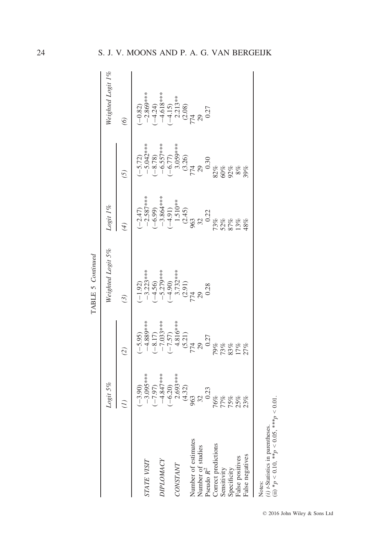|                                                                      |                       |                                                                                                                                                                                                                                         | TABLE 5 Continued                                                                                                 |                                                                                                                                                                                             |                                                                                                                                 |                                                                                                                      |
|----------------------------------------------------------------------|-----------------------|-----------------------------------------------------------------------------------------------------------------------------------------------------------------------------------------------------------------------------------------|-------------------------------------------------------------------------------------------------------------------|---------------------------------------------------------------------------------------------------------------------------------------------------------------------------------------------|---------------------------------------------------------------------------------------------------------------------------------|----------------------------------------------------------------------------------------------------------------------|
|                                                                      | Logit 5%              |                                                                                                                                                                                                                                         | Weighted Logit 5%                                                                                                 | $Logit$ 1%                                                                                                                                                                                  |                                                                                                                                 | Weighted Logit 1%                                                                                                    |
|                                                                      |                       | $\widetilde{c}$                                                                                                                                                                                                                         | $\overline{\mathcal{L}}$                                                                                          | $\overline{4}$                                                                                                                                                                              | (5)                                                                                                                             | $\circledcirc$                                                                                                       |
|                                                                      | $(-3.90)$             | $-5.95$                                                                                                                                                                                                                                 |                                                                                                                   |                                                                                                                                                                                             |                                                                                                                                 | $(-0.82)$                                                                                                            |
| <b>STATE VISIT</b>                                                   |                       |                                                                                                                                                                                                                                         |                                                                                                                   |                                                                                                                                                                                             |                                                                                                                                 |                                                                                                                      |
|                                                                      |                       |                                                                                                                                                                                                                                         |                                                                                                                   |                                                                                                                                                                                             |                                                                                                                                 |                                                                                                                      |
| NPLOMACY                                                             |                       | $\begin{array}{l} -4.889^{***} \\ (-8.17) \\ (-7.037^{***} \\ (-7.57) \\ (5.21) \\ (5.21) \\ 774 \\ (7.21) \\ 79\% \\ 79\% \\ 73\% \\ 83\% \\ 73\% \\ 83\% \\ 73\% \\ 73\% \\ 277\% \\ 277\% \\ 277\% \\ 277\% \\ 277\% \\ \end{array}$ | $(-1.92)$<br>$-3.223***$<br>$(-4.56)$<br>$(-4.50)$<br>$(-4.90)$<br>$(-4.90)$<br>$(2.91)$<br>$774$<br>$29$<br>0.28 | $(-2,47)$<br>$(-6,99)$<br>$(-6,90)$<br>$(-4,91)$<br>$(-4,91)$<br>$(-3,864**$<br>$(-4,91)$<br>$(-1,510**)$<br>$(-1,50)$<br>$(2,45)$<br>$(2,45)$<br>$(3,22)$<br>$73\%$ $8\%$<br>$87\%$ $87\%$ | $(-5.72)$<br>$(-8.78)$<br>$(-8.57)$<br>$(-6.57)$<br>$(-6.77)$<br>$(-6.77)$<br>$(-6.77)$<br>$(-6.77)$<br>$(3.26)$<br>$774$<br>29 | $-2.869$ ***<br>$(-4.24)$<br>$(-4.24)$<br>$(-4.15)$<br>$(-4.15)$<br>$2.213$ **<br>$2.08$<br>$714$<br>$729$<br>$0.27$ |
|                                                                      |                       |                                                                                                                                                                                                                                         |                                                                                                                   |                                                                                                                                                                                             |                                                                                                                                 |                                                                                                                      |
| <b>CONSTANT</b>                                                      |                       |                                                                                                                                                                                                                                         |                                                                                                                   |                                                                                                                                                                                             |                                                                                                                                 |                                                                                                                      |
|                                                                      |                       |                                                                                                                                                                                                                                         |                                                                                                                   |                                                                                                                                                                                             |                                                                                                                                 |                                                                                                                      |
|                                                                      |                       |                                                                                                                                                                                                                                         |                                                                                                                   |                                                                                                                                                                                             |                                                                                                                                 |                                                                                                                      |
|                                                                      |                       |                                                                                                                                                                                                                                         |                                                                                                                   |                                                                                                                                                                                             |                                                                                                                                 |                                                                                                                      |
| Number of estimates<br>Number of studies<br>Pseudo $R^2$             |                       |                                                                                                                                                                                                                                         |                                                                                                                   |                                                                                                                                                                                             |                                                                                                                                 |                                                                                                                      |
|                                                                      |                       |                                                                                                                                                                                                                                         |                                                                                                                   |                                                                                                                                                                                             |                                                                                                                                 |                                                                                                                      |
|                                                                      |                       |                                                                                                                                                                                                                                         |                                                                                                                   |                                                                                                                                                                                             |                                                                                                                                 |                                                                                                                      |
| Correct predictions<br>Sensitivity<br>Specificity<br>False positives | 16%<br>16%%<br>16%38% |                                                                                                                                                                                                                                         |                                                                                                                   |                                                                                                                                                                                             | 828888<br>828888<br>8200                                                                                                        |                                                                                                                      |
|                                                                      |                       |                                                                                                                                                                                                                                         |                                                                                                                   |                                                                                                                                                                                             |                                                                                                                                 |                                                                                                                      |
| False negatives                                                      |                       |                                                                                                                                                                                                                                         |                                                                                                                   |                                                                                                                                                                                             |                                                                                                                                 |                                                                                                                      |
|                                                                      |                       |                                                                                                                                                                                                                                         |                                                                                                                   |                                                                                                                                                                                             |                                                                                                                                 |                                                                                                                      |

|   | é<br>∸ |
|---|--------|
|   | U<br>⋍ |
|   | ∸<br>۵ |
|   | U,     |
| л |        |

Notes:<br>
(*i*) *t*-Statistics in parentheses.<br>
(ii) \*p < 0.10, \*\*p < 0.05, \*\*\*p < 0.01. (i) t-Statistics in parentheses. (ii) \* $p < 0.10$ , \*\* $p < 0.05$ , \*\*\* $p < 0.01$ .

 $\mathbf{C}$  $\mathbf{u}$  $\overline{p}$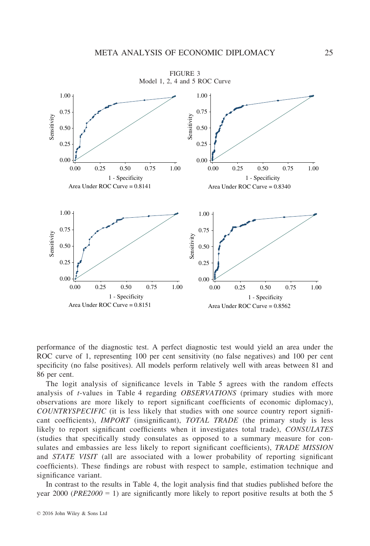

FIGURE 3 Model 1, 2, 4 and 5 ROC Curve

performance of the diagnostic test. A perfect diagnostic test would yield an area under the ROC curve of 1, representing 100 per cent sensitivity (no false negatives) and 100 per cent specificity (no false positives). All models perform relatively well with areas between 81 and 86 per cent.

The logit analysis of significance levels in Table 5 agrees with the random effects analysis of t-values in Table 4 regarding *OBSERVATIONS* (primary studies with more observations are more likely to report significant coefficients of economic diplomacy), COUNTRYSPECIFIC (it is less likely that studies with one source country report significant coefficients), IMPORT (insignificant), TOTAL TRADE (the primary study is less likely to report significant coefficients when it investigates total trade), CONSULATES (studies that specifically study consulates as opposed to a summary measure for consulates and embassies are less likely to report significant coefficients), TRADE MISSION and STATE VISIT (all are associated with a lower probability of reporting significant coefficients). These findings are robust with respect to sample, estimation technique and significance variant.

In contrast to the results in Table 4, the logit analysis find that studies published before the year 2000 ( $PRE2000 = 1$ ) are significantly more likely to report positive results at both the 5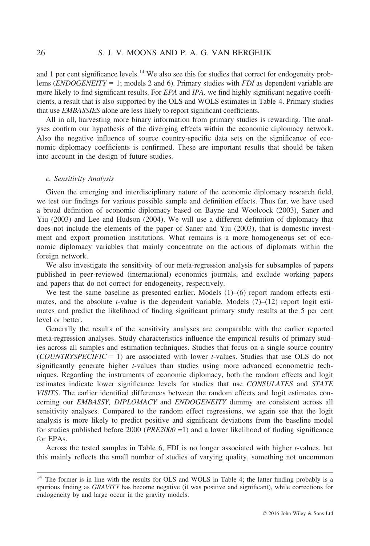# 26 S. J. V. MOONS AND P. A. G. VAN BERGEIJK

and 1 per cent significance levels.<sup>14</sup> We also see this for studies that correct for endogeneity problems ( $ENDOGENEITY = 1$ ; models 2 and 6). Primary studies with *FDI* as dependent variable are more likely to find significant results. For *EPA* and *IPA*, we find highly significant negative coefficients, a result that is also supported by the OLS and WOLS estimates in Table 4. Primary studies that use EMBASSIES alone are less likely to report significant coefficients.

All in all, harvesting more binary information from primary studies is rewarding. The analyses confirm our hypothesis of the diverging effects within the economic diplomacy network. Also the negative influence of source country-specific data sets on the significance of economic diplomacy coefficients is confirmed. These are important results that should be taken into account in the design of future studies.

## c. Sensitivity Analysis

Given the emerging and interdisciplinary nature of the economic diplomacy research field, we test our findings for various possible sample and definition effects. Thus far, we have used a broad definition of economic diplomacy based on Bayne and Woolcock (2003), Saner and Yiu (2003) and Lee and Hudson (2004). We will use a different definition of diplomacy that does not include the elements of the paper of Saner and Yiu (2003), that is domestic investment and export promotion institutions. What remains is a more homogeneous set of economic diplomacy variables that mainly concentrate on the actions of diplomats within the foreign network.

We also investigate the sensitivity of our meta-regression analysis for subsamples of papers published in peer-reviewed (international) economics journals, and exclude working papers and papers that do not correct for endogeneity, respectively.

We test the same baseline as presented earlier. Models  $(1)$ – $(6)$  report random effects estimates, and the absolute *t*-value is the dependent variable. Models  $(7)$ – $(12)$  report logit estimates and predict the likelihood of finding significant primary study results at the 5 per cent level or better.

Generally the results of the sensitivity analyses are comparable with the earlier reported meta-regression analyses. Study characteristics influence the empirical results of primary studies across all samples and estimation techniques. Studies that focus on a single source country  $(COUNTRYFECIFIC = 1)$  are associated with lower *t*-values. Studies that use OLS do not significantly generate higher *t*-values than studies using more advanced econometric techniques. Regarding the instruments of economic diplomacy, both the random effects and logit estimates indicate lower significance levels for studies that use CONSULATES and STATE VISITS. The earlier identified differences between the random effects and logit estimates concerning our *EMBASSY*, *DIPLOMACY* and *ENDOGENEITY* dummy are consistent across all sensitivity analyses. Compared to the random effect regressions, we again see that the logit analysis is more likely to predict positive and significant deviations from the baseline model for studies published before 2000 ( $PRE2000 =1$ ) and a lower likelihood of finding significance for EPAs.

Across the tested samples in Table 6, FDI is no longer associated with higher t-values, but this mainly reflects the small number of studies of varying quality, something not uncommon

<sup>&</sup>lt;sup>14</sup> The former is in line with the results for OLS and WOLS in Table 4; the latter finding probably is a spurious finding as GRAVITY has become negative (it was positive and significant), while corrections for endogeneity by and large occur in the gravity models.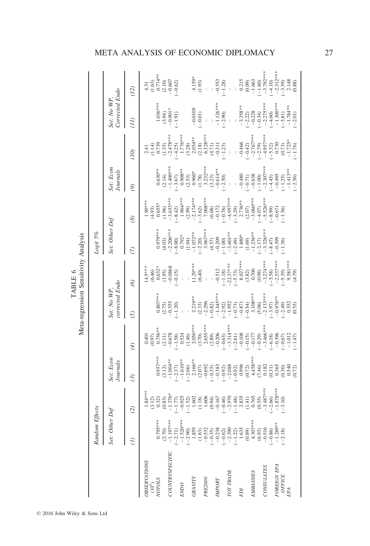|                     | Random Effects<br>Set: Other D                                                                                  |                                                                                                                                                                                                                                                                                                                                                                   | Set: Econ<br>Journals                                                                                                                                                                                                                                                                                                                                                                                                                                                      |                | Meta-regression Sensitivity Analysis<br>corrected Endo<br>Set: No WP,                                                                                                                                                                                                                                                                                | TABLE 6                                                                                                                                                                     | Set: Other Def<br>Logit 5%                                                                                                                                                                                                                                                                                                                                                                                     |                                                                                                                                                                                                                                                                                                                                                   | Set: Econ<br>Journals                                                                                                                                                                                                                                                                                                                                     |                                                                                                                                                                                                                                                                                                         | Corrected Endo<br>Set: No WP                                                                                                                        |                                                                                                                           |
|---------------------|-----------------------------------------------------------------------------------------------------------------|-------------------------------------------------------------------------------------------------------------------------------------------------------------------------------------------------------------------------------------------------------------------------------------------------------------------------------------------------------------------|----------------------------------------------------------------------------------------------------------------------------------------------------------------------------------------------------------------------------------------------------------------------------------------------------------------------------------------------------------------------------------------------------------------------------------------------------------------------------|----------------|------------------------------------------------------------------------------------------------------------------------------------------------------------------------------------------------------------------------------------------------------------------------------------------------------------------------------------------------------|-----------------------------------------------------------------------------------------------------------------------------------------------------------------------------|----------------------------------------------------------------------------------------------------------------------------------------------------------------------------------------------------------------------------------------------------------------------------------------------------------------------------------------------------------------------------------------------------------------|---------------------------------------------------------------------------------------------------------------------------------------------------------------------------------------------------------------------------------------------------------------------------------------------------------------------------------------------------|-----------------------------------------------------------------------------------------------------------------------------------------------------------------------------------------------------------------------------------------------------------------------------------------------------------------------------------------------------------|---------------------------------------------------------------------------------------------------------------------------------------------------------------------------------------------------------------------------------------------------------------------------------------------------------|-----------------------------------------------------------------------------------------------------------------------------------------------------|---------------------------------------------------------------------------------------------------------------------------|
|                     | (J                                                                                                              | $\widehat{c}$                                                                                                                                                                                                                                                                                                                                                     | $\binom{3}{2}$                                                                                                                                                                                                                                                                                                                                                                                                                                                             | $\overline{4}$ | 5)                                                                                                                                                                                                                                                                                                                                                   | $\odot$                                                                                                                                                                     | $\overline{C}$                                                                                                                                                                                                                                                                                                                                                                                                 | (8)                                                                                                                                                                                                                                                                                                                                               | <u>ම</u>                                                                                                                                                                                                                                                                                                                                                  | (10)                                                                                                                                                                                                                                                                                                    | (11)                                                                                                                                                | (12)                                                                                                                      |
| <b>OBSERVATIONS</b> |                                                                                                                 |                                                                                                                                                                                                                                                                                                                                                                   |                                                                                                                                                                                                                                                                                                                                                                                                                                                                            |                |                                                                                                                                                                                                                                                                                                                                                      |                                                                                                                                                                             |                                                                                                                                                                                                                                                                                                                                                                                                                |                                                                                                                                                                                                                                                                                                                                                   |                                                                                                                                                                                                                                                                                                                                                           |                                                                                                                                                                                                                                                                                                         |                                                                                                                                                     |                                                                                                                           |
| STOLON              | $0.795***$                                                                                                      |                                                                                                                                                                                                                                                                                                                                                                   |                                                                                                                                                                                                                                                                                                                                                                                                                                                                            |                |                                                                                                                                                                                                                                                                                                                                                      | 14.5***<br>(6.46)<br>(6.46)<br>0.632*<br>(1.95)<br>(-0.15)                                                                                                                  |                                                                                                                                                                                                                                                                                                                                                                                                                |                                                                                                                                                                                                                                                                                                                                                   |                                                                                                                                                                                                                                                                                                                                                           |                                                                                                                                                                                                                                                                                                         |                                                                                                                                                     | 4.31<br>(1.63)<br>(1.63)<br>(1.60)<br>(2.10)<br>(-0.62)                                                                   |
|                     | (2.70)                                                                                                          |                                                                                                                                                                                                                                                                                                                                                                   |                                                                                                                                                                                                                                                                                                                                                                                                                                                                            |                |                                                                                                                                                                                                                                                                                                                                                      |                                                                                                                                                                             |                                                                                                                                                                                                                                                                                                                                                                                                                |                                                                                                                                                                                                                                                                                                                                                   |                                                                                                                                                                                                                                                                                                                                                           |                                                                                                                                                                                                                                                                                                         |                                                                                                                                                     |                                                                                                                           |
| COUNTRYSPECIFIC     | $-1.197***$                                                                                                     |                                                                                                                                                                                                                                                                                                                                                                   |                                                                                                                                                                                                                                                                                                                                                                                                                                                                            |                | $0.807***$<br>(2.75)<br>(-0.555<br>(-1.20)                                                                                                                                                                                                                                                                                                           |                                                                                                                                                                             |                                                                                                                                                                                                                                                                                                                                                                                                                |                                                                                                                                                                                                                                                                                                                                                   |                                                                                                                                                                                                                                                                                                                                                           |                                                                                                                                                                                                                                                                                                         | $\begin{array}{c} 1.036^{***} \\ (3.94) \\ -0.901^{*} \\ (-1.91) \end{array}$                                                                       |                                                                                                                           |
| <b>ENDO</b>         | $-1.520***$<br>$(-2.71)$                                                                                        | $\begin{array}{l} \mathbf{1.35} \\[-2.0ex] \mathbf{1.47} \\[-2.0ex] \mathbf{1.47} \\[-2.0ex] \mathbf{1.47} \\[-2.0ex] \mathbf{1.47} \\[-2.0ex] \mathbf{1.47} \\[-2.0ex] \mathbf{1.47} \\[-2.0ex] \mathbf{1.47} \\[-2.0ex] \mathbf{1.47} \\[-2.0ex] \mathbf{1.47} \\[-2.0ex] \mathbf{1.47} \\[-2.0ex] \mathbf{1.47} \\[-2.0ex] \mathbf{1.47} \\[-2.0ex] \mathbf{1$ | $\begin{array}{l} \begin{array}{l} \mbox{\small{$}}\mbox{\small{$}}\mbox{\small{$}}\mbox{\small{$}}\mbox{\small{$}}\mbox{\small{$}}\mbox{\small{$}}\mbox{\small{$}}\mbox{\small{$}}\mbox{\small{$}}\mbox{\small{$}}\mbox{\small{$}}\mbox{\small{$}}\mbox{\small{$}}\mbox{\small{$}}\mbox{\small{$}}\mbox{\small{}}\mbox{\small{}}\mbox{\small{}}\mbox{\small{}}\mbox{\small{}}\mbox{\small{}}\mbox{\small{}}\mbox{\small{}}\mbox{\small{}}\mbox{\small{}}\mbox{\small{}}\$ |                | $\frac{1}{2}$                                                                                                                                                                                                                                                                                                                                        |                                                                                                                                                                             | $\begin{array}{l} \mathcal{P}^*\\ \mathcal{P}^*\\ \mathcal{P}^*\\ \mathcal{P}^*\\ \mathcal{P}^*\\ \mathcal{P}^*\\ \mathcal{P}^*\\ \mathcal{P}^*\\ \mathcal{P}^*\\ \mathcal{P}^*\\ \mathcal{P}^*\\ \mathcal{P}^*\\ \mathcal{P}^*\\ \mathcal{P}^*\\ \mathcal{P}^*\\ \mathcal{P}^*\\ \mathcal{P}^*\\ \mathcal{P}^*\\ \mathcal{P}^*\\ \mathcal{P}^*\\ \mathcal{P}^*\\ \mathcal{P}^*\\ \mathcal{P}^*\\ \mathcal{P}$ | $\begin{array}{l} 1.90^{***} \\ 1.90^{***} \\ 0.620 \\ -6.63 \\ -6.63 \\ -1.44 \\ -1.50 \\ -1.71 \\ -1.71 \\ -1.71 \\ -1.71 \\ -1.71 \\ -1.71 \\ -1.71 \\ -1.71 \\ -1.71 \\ -1.71 \\ -1.71 \\ -1.71 \\ -1.71 \\ -1.71 \\ -1.71 \\ -1.71 \\ -1.71 \\ -1.71 \\ -1.71 \\ -1.71 \\ -1.71 \\ -1.71 \\ -1.71 \\ -1.71 \\ -1.71 \\ -1.71 \\ -1.71 \\ -1$ | $\begin{array}{c} 0.630^{**} \\ (2.14) \\ (1.40^{***}) \\ (-3.67) \\ (2.53) \\ (2.53) \\ (1.78) \\ (1.78) \\ (3.23)^{***} \\ (1.78) \\ (3.23) \\ (3.23) \\ (3.23) \\ (-2.50) \\ (-2.50) \\ (-2.50) \\ (-2.50) \\ (-2.50) \\ (-2.50) \\ (-2.50) \\ (-2.50) \\ (-2.50) \\ (-2.50) \\ (-2.50) \\ (-2.50) \\ (-2.50) \\ (-2.50) \\ (-2.50) \\ (-2.50) \\ (-2$ | $\begin{array}{c} (1,1,4) \\ (1,1,2,3) \\ (1,1,3,4) \\ (1,1,2,3) \\ (1,1,2,3) \\ (1,1,2,3) \\ (1,1,2,3) \\ (1,1,2,3) \\ (1,1,2,3) \\ (1,1,2,3) \\ (1,1,2,3) \\ (1,1,2,3) \\ (1,1,2,3) \\ (1,1,2,3) \\ (1,1,2,3) \\ (1,1,2,3) \\ (1,1,2,3) \\ (1,1,2,3) \\ (1,1,2,3) \\ (1,1,2,3) \\ (1,1,2,3) \\ (1,1,$ |                                                                                                                                                     |                                                                                                                           |
|                     | $(-2.90)$                                                                                                       |                                                                                                                                                                                                                                                                                                                                                                   |                                                                                                                                                                                                                                                                                                                                                                                                                                                                            |                |                                                                                                                                                                                                                                                                                                                                                      |                                                                                                                                                                             |                                                                                                                                                                                                                                                                                                                                                                                                                |                                                                                                                                                                                                                                                                                                                                                   |                                                                                                                                                                                                                                                                                                                                                           |                                                                                                                                                                                                                                                                                                         |                                                                                                                                                     |                                                                                                                           |
| GRAVITY             | 1.859                                                                                                           |                                                                                                                                                                                                                                                                                                                                                                   |                                                                                                                                                                                                                                                                                                                                                                                                                                                                            |                |                                                                                                                                                                                                                                                                                                                                                      |                                                                                                                                                                             |                                                                                                                                                                                                                                                                                                                                                                                                                |                                                                                                                                                                                                                                                                                                                                                   |                                                                                                                                                                                                                                                                                                                                                           |                                                                                                                                                                                                                                                                                                         | $-0.0109$<br>$(-0.01)$                                                                                                                              | $4.159*$<br>(1.93)                                                                                                        |
|                     |                                                                                                                 |                                                                                                                                                                                                                                                                                                                                                                   |                                                                                                                                                                                                                                                                                                                                                                                                                                                                            |                |                                                                                                                                                                                                                                                                                                                                                      |                                                                                                                                                                             |                                                                                                                                                                                                                                                                                                                                                                                                                |                                                                                                                                                                                                                                                                                                                                                   |                                                                                                                                                                                                                                                                                                                                                           |                                                                                                                                                                                                                                                                                                         |                                                                                                                                                     |                                                                                                                           |
| <b>PRE2000</b>      | $\begin{array}{c} (1.63) \\ -0.532 \\ (-0.35) \\ -0.238 \\ (-0.62) \\ -0.62) \\ (-0.62) \\ (-1.22) \end{array}$ |                                                                                                                                                                                                                                                                                                                                                                   |                                                                                                                                                                                                                                                                                                                                                                                                                                                                            |                | $( \begin{smallmatrix} 2.19 \\ 2.33 \\ -1.33 \\ -1.45 \\ -1.45 \\ -1.52 \\ -1.52 \\ -1.53 \\ -1.53 \\ -1.53 \\ -1.53 \\ -1.53 \\ -1.54 \\ -1.55 \\ -1.57 \\ -1.59 \\ -1.59 \\ -1.59 \\ -1.59 \\ -1.59 \\ -1.59 \\ -1.59 \\ -1.59 \\ -1.59 \\ -1.59 \\ -1.59 \\ -1.59 \\ -1.59 \\ -1.59 \\ -1.59 \\ -1.59 \\ -1.59 \\ -1.59 \\ -1.59 \\ -1.59 \\ -1.$ | $11.29***$<br>(6.40)<br>$-$                                                                                                                                                 |                                                                                                                                                                                                                                                                                                                                                                                                                |                                                                                                                                                                                                                                                                                                                                                   |                                                                                                                                                                                                                                                                                                                                                           |                                                                                                                                                                                                                                                                                                         |                                                                                                                                                     |                                                                                                                           |
| <b>INPORT</b>       |                                                                                                                 |                                                                                                                                                                                                                                                                                                                                                                   |                                                                                                                                                                                                                                                                                                                                                                                                                                                                            |                |                                                                                                                                                                                                                                                                                                                                                      |                                                                                                                                                                             |                                                                                                                                                                                                                                                                                                                                                                                                                |                                                                                                                                                                                                                                                                                                                                                   |                                                                                                                                                                                                                                                                                                                                                           |                                                                                                                                                                                                                                                                                                         | $-1.126***$<br>$(-2.90)$                                                                                                                            |                                                                                                                           |
|                     |                                                                                                                 |                                                                                                                                                                                                                                                                                                                                                                   |                                                                                                                                                                                                                                                                                                                                                                                                                                                                            |                |                                                                                                                                                                                                                                                                                                                                                      |                                                                                                                                                                             |                                                                                                                                                                                                                                                                                                                                                                                                                |                                                                                                                                                                                                                                                                                                                                                   |                                                                                                                                                                                                                                                                                                                                                           |                                                                                                                                                                                                                                                                                                         |                                                                                                                                                     | $-0.553$<br>$(-1.28)$                                                                                                     |
| TOT TRADE           |                                                                                                                 |                                                                                                                                                                                                                                                                                                                                                                   |                                                                                                                                                                                                                                                                                                                                                                                                                                                                            |                |                                                                                                                                                                                                                                                                                                                                                      |                                                                                                                                                                             |                                                                                                                                                                                                                                                                                                                                                                                                                |                                                                                                                                                                                                                                                                                                                                                   |                                                                                                                                                                                                                                                                                                                                                           |                                                                                                                                                                                                                                                                                                         |                                                                                                                                                     |                                                                                                                           |
|                     |                                                                                                                 |                                                                                                                                                                                                                                                                                                                                                                   |                                                                                                                                                                                                                                                                                                                                                                                                                                                                            |                |                                                                                                                                                                                                                                                                                                                                                      |                                                                                                                                                                             |                                                                                                                                                                                                                                                                                                                                                                                                                |                                                                                                                                                                                                                                                                                                                                                   |                                                                                                                                                                                                                                                                                                                                                           |                                                                                                                                                                                                                                                                                                         |                                                                                                                                                     |                                                                                                                           |
| FDI                 | 1.635<br>(0.89)                                                                                                 |                                                                                                                                                                                                                                                                                                                                                                   |                                                                                                                                                                                                                                                                                                                                                                                                                                                                            |                |                                                                                                                                                                                                                                                                                                                                                      | $-0.512$<br>$-(-1.18)$<br>$-2.37***$<br>$-8.027***$<br>$-8.027***$<br>$-8.027***$<br>$-3.274***$<br>$-5.357***$<br>$-5.357***$<br>$-5.357***$<br>$-5.357***$<br>$-5.357***$ |                                                                                                                                                                                                                                                                                                                                                                                                                |                                                                                                                                                                                                                                                                                                                                                   | $-0.480$<br>$(-0.71)$<br>$(-0.638)$<br>$(-1.00)$<br>$-1.445$<br>$(-1.445)$<br>$(-1.25)$<br>$(-1.25)$<br>$(-1.25)$                                                                                                                                                                                                                                         | $-6.466$<br>$-6.42$<br>$-2.767$<br>$+2.37$<br>$-2.767$<br>$-1.730$<br>$-1.730$<br>$-1.725$                                                                                                                                                                                                              | $\begin{array}{r} -3.358** \\ -3.358** \\ (-2.22) \\ -0.228 \\ -0.234) \\ -2.275*** \\ -4.60*** \\ -4.60*** \\ -1.784** \\ -1.784** \\ \end{array}$ | 0.215<br>$(0.09)$<br>$(-1.60)$<br>$(-1.60)$<br>$(-1.60)$<br>$(-4.10)$<br>$(-4.10)$<br>$(-3.59)$<br>$(-3.50)$<br>$(-3.63)$ |
| <b>EMBASSIES</b>    | $4.307***$                                                                                                      |                                                                                                                                                                                                                                                                                                                                                                   |                                                                                                                                                                                                                                                                                                                                                                                                                                                                            |                |                                                                                                                                                                                                                                                                                                                                                      |                                                                                                                                                                             |                                                                                                                                                                                                                                                                                                                                                                                                                |                                                                                                                                                                                                                                                                                                                                                   |                                                                                                                                                                                                                                                                                                                                                           |                                                                                                                                                                                                                                                                                                         |                                                                                                                                                     |                                                                                                                           |
|                     | (6.93)                                                                                                          |                                                                                                                                                                                                                                                                                                                                                                   |                                                                                                                                                                                                                                                                                                                                                                                                                                                                            |                |                                                                                                                                                                                                                                                                                                                                                      |                                                                                                                                                                             |                                                                                                                                                                                                                                                                                                                                                                                                                |                                                                                                                                                                                                                                                                                                                                                   |                                                                                                                                                                                                                                                                                                                                                           |                                                                                                                                                                                                                                                                                                         |                                                                                                                                                     |                                                                                                                           |
| CONSULATES          | $-0.516$                                                                                                        |                                                                                                                                                                                                                                                                                                                                                                   |                                                                                                                                                                                                                                                                                                                                                                                                                                                                            |                |                                                                                                                                                                                                                                                                                                                                                      |                                                                                                                                                                             |                                                                                                                                                                                                                                                                                                                                                                                                                |                                                                                                                                                                                                                                                                                                                                                   |                                                                                                                                                                                                                                                                                                                                                           |                                                                                                                                                                                                                                                                                                         |                                                                                                                                                     |                                                                                                                           |
|                     | $(-0.86)$                                                                                                       |                                                                                                                                                                                                                                                                                                                                                                   |                                                                                                                                                                                                                                                                                                                                                                                                                                                                            |                |                                                                                                                                                                                                                                                                                                                                                      |                                                                                                                                                                             |                                                                                                                                                                                                                                                                                                                                                                                                                |                                                                                                                                                                                                                                                                                                                                                   |                                                                                                                                                                                                                                                                                                                                                           |                                                                                                                                                                                                                                                                                                         |                                                                                                                                                     |                                                                                                                           |
| FOREIGN EPA         | $-1.289**$<br>$(-2.18)$                                                                                         |                                                                                                                                                                                                                                                                                                                                                                   |                                                                                                                                                                                                                                                                                                                                                                                                                                                                            |                |                                                                                                                                                                                                                                                                                                                                                      |                                                                                                                                                                             |                                                                                                                                                                                                                                                                                                                                                                                                                |                                                                                                                                                                                                                                                                                                                                                   |                                                                                                                                                                                                                                                                                                                                                           |                                                                                                                                                                                                                                                                                                         |                                                                                                                                                     |                                                                                                                           |
| OFFICE              |                                                                                                                 |                                                                                                                                                                                                                                                                                                                                                                   |                                                                                                                                                                                                                                                                                                                                                                                                                                                                            |                |                                                                                                                                                                                                                                                                                                                                                      |                                                                                                                                                                             |                                                                                                                                                                                                                                                                                                                                                                                                                |                                                                                                                                                                                                                                                                                                                                                   |                                                                                                                                                                                                                                                                                                                                                           |                                                                                                                                                                                                                                                                                                         |                                                                                                                                                     |                                                                                                                           |
| EPA                 |                                                                                                                 |                                                                                                                                                                                                                                                                                                                                                                   |                                                                                                                                                                                                                                                                                                                                                                                                                                                                            |                |                                                                                                                                                                                                                                                                                                                                                      |                                                                                                                                                                             |                                                                                                                                                                                                                                                                                                                                                                                                                |                                                                                                                                                                                                                                                                                                                                                   |                                                                                                                                                                                                                                                                                                                                                           |                                                                                                                                                                                                                                                                                                         |                                                                                                                                                     |                                                                                                                           |
|                     |                                                                                                                 |                                                                                                                                                                                                                                                                                                                                                                   |                                                                                                                                                                                                                                                                                                                                                                                                                                                                            |                |                                                                                                                                                                                                                                                                                                                                                      |                                                                                                                                                                             |                                                                                                                                                                                                                                                                                                                                                                                                                |                                                                                                                                                                                                                                                                                                                                                   |                                                                                                                                                                                                                                                                                                                                                           |                                                                                                                                                                                                                                                                                                         |                                                                                                                                                     |                                                                                                                           |

# META ANALYSIS OF ECONOMIC DIPLOMACY 27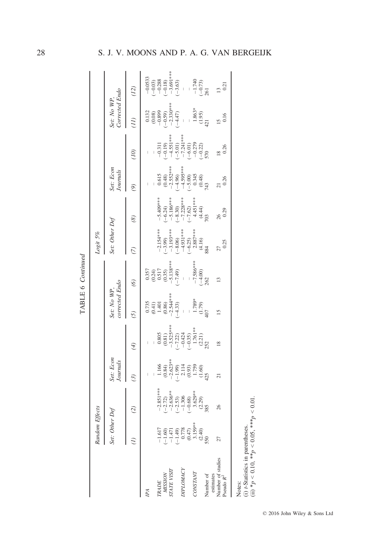|                                                                       |                                                                                                                                                                       |                                                                                                                         |                                                                                                  |                                                                                                                                             |                                                                                   | TABLE 6 Continued                                                            |                                                                                                                                |                                                                                                                                                                                                                                                                                                                                     |                                                                                                               |                                                                                          |                                                                                                                        |                                                                                                                                   |
|-----------------------------------------------------------------------|-----------------------------------------------------------------------------------------------------------------------------------------------------------------------|-------------------------------------------------------------------------------------------------------------------------|--------------------------------------------------------------------------------------------------|---------------------------------------------------------------------------------------------------------------------------------------------|-----------------------------------------------------------------------------------|------------------------------------------------------------------------------|--------------------------------------------------------------------------------------------------------------------------------|-------------------------------------------------------------------------------------------------------------------------------------------------------------------------------------------------------------------------------------------------------------------------------------------------------------------------------------|---------------------------------------------------------------------------------------------------------------|------------------------------------------------------------------------------------------|------------------------------------------------------------------------------------------------------------------------|-----------------------------------------------------------------------------------------------------------------------------------|
|                                                                       | Random Effects                                                                                                                                                        |                                                                                                                         |                                                                                                  |                                                                                                                                             |                                                                                   |                                                                              | Logit 5%                                                                                                                       |                                                                                                                                                                                                                                                                                                                                     |                                                                                                               |                                                                                          |                                                                                                                        |                                                                                                                                   |
|                                                                       | Set: Other                                                                                                                                                            | Рef                                                                                                                     | Set: Econ<br>Journals                                                                            |                                                                                                                                             | corrected Endo<br>Set: No WP,                                                     |                                                                              | Set: Other Def                                                                                                                 |                                                                                                                                                                                                                                                                                                                                     | Set: Econ<br>Journals                                                                                         |                                                                                          | Corrected Endo<br>Set: No WP,                                                                                          |                                                                                                                                   |
|                                                                       |                                                                                                                                                                       | $\widetilde{c}$                                                                                                         | $\overline{3}$                                                                                   | $\left( 4\right)$                                                                                                                           | (5)                                                                               | $\circ$                                                                      | $\overline{C}$                                                                                                                 | $\left( 8\right)$                                                                                                                                                                                                                                                                                                                   | $\widetilde{\Theta}$                                                                                          | (10)                                                                                     | (11)                                                                                                                   | (12)                                                                                                                              |
| IРД                                                                   |                                                                                                                                                                       |                                                                                                                         |                                                                                                  |                                                                                                                                             |                                                                                   |                                                                              |                                                                                                                                |                                                                                                                                                                                                                                                                                                                                     |                                                                                                               |                                                                                          |                                                                                                                        |                                                                                                                                   |
| <b>TRADE</b>                                                          |                                                                                                                                                                       |                                                                                                                         |                                                                                                  |                                                                                                                                             |                                                                                   |                                                                              |                                                                                                                                |                                                                                                                                                                                                                                                                                                                                     |                                                                                                               |                                                                                          |                                                                                                                        |                                                                                                                                   |
|                                                                       |                                                                                                                                                                       |                                                                                                                         |                                                                                                  |                                                                                                                                             |                                                                                   |                                                                              |                                                                                                                                |                                                                                                                                                                                                                                                                                                                                     |                                                                                                               |                                                                                          |                                                                                                                        |                                                                                                                                   |
| $\begin{array}{c} \textit{MISSION} \\ \textit{TATE VIST} \end{array}$ |                                                                                                                                                                       |                                                                                                                         |                                                                                                  |                                                                                                                                             |                                                                                   |                                                                              |                                                                                                                                |                                                                                                                                                                                                                                                                                                                                     |                                                                                                               |                                                                                          |                                                                                                                        |                                                                                                                                   |
|                                                                       |                                                                                                                                                                       |                                                                                                                         |                                                                                                  |                                                                                                                                             |                                                                                   |                                                                              |                                                                                                                                |                                                                                                                                                                                                                                                                                                                                     |                                                                                                               |                                                                                          |                                                                                                                        |                                                                                                                                   |
| <b>DIPLOMACY</b>                                                      | $-1.617$<br>$(-1.60)$<br>$(-1.471)$<br>$(-1.49)$<br>$(-1.49)$<br>$(-1.49)$<br>$(-1.49)$<br>$(-1.49)$<br>$(-1.49)$<br>$(-1.49)$<br>$(-1.49)$<br>$(-1.49)$<br>$(-1.49)$ | $-2.851***$<br>$(-2.72)$<br>$(-2.656**$<br>$-1.366***$<br>$(-2.53)$<br>$(-1.306)$<br>$(-0.68)$<br>$3.629**$<br>$(2.29)$ | $1.166$<br>$0.84$<br>$-2.623**$<br>$-2.623**$<br>$-112$<br>$0.93$<br>$1.759$<br>$1.759$<br>$425$ | $\begin{array}{c} - \\ 0.805 \\ (0.81) \\ (0.81) \\ -3.525^{***} \\ (-1.761^{**}) \\ (-0.35) \\ (1.761^{**}) \\ (2.21) \\ 2.52 \end{array}$ | 0.735<br>(0.41)<br>(0.40)<br>(0.86)<br>-4.33<br>-4.33<br>-4.79)<br>-4.79<br>-4.07 | 0.357<br>(0.35)<br>(0.35)<br>(0.35)<br>(-7.49)<br>(-4.00)<br>(-4.00)<br>(262 | $\begin{array}{r} -2.154**\\ (-3.9)\\ (-3.9)\\ -3.193**\\ (-8.06)\\ (-8.05)\\ (-6.25)\\ 2.887**\\ (-6.25)\\ 2.894 \end{array}$ | $\begin{array}{r} -5.409**\\ (-6.24)\\ -5.186***\\ -5.186***\\ (-8.30)\\ (-8.30)\\ (-7.62)\\ (-7.62)\\ (+4.41)\\ (+4.41)\\ (-7.62)\\ (-7.62)\\ (-7.62)\\ (-8.30)\\ (-9.62)\\ (-1.41)\\ (-1.41)\\ (-1.41)\\ (-1.41)\\ (-1.41)\\ (-1.41)\\ (-1.41)\\ (-1.41)\\ (-1.41)\\ (-1.41)\\ (-1.41)\\ (-1.41)\\ (-1.41)\\ (-1.41)\\ (-1.41)\\$ | $0.615$<br>$0.615$<br>$0.48$<br>$-2.52$<br>$-4.595$<br>$-4.595$<br>$-5.00$<br>$-5.045$<br>$-5.048$<br>$-5.48$ | $-0.311$<br>$-0.19$<br>$-4.551***$<br>$-4.501***$<br>$-7.241***$<br>$-0.279$<br>$-0.279$ | 0.132<br>$(0.08)$<br>$(0.08)$<br>$(-0.59)$<br>$(-0.59)$<br>$(-4.47)$<br>$-2.330**$<br>$-4.7$<br>$-1.863*$<br>$-1.863*$ | $-0.0533$<br>$(-0.03)$<br>$-0.288$<br>$(-0.18)$<br>$-3.691$<br>$+8.091$<br>$-1.740$<br>$-1.740$<br>$-1.740$<br>$-1.73$<br>$-0.73$ |
| CONSTANT                                                              |                                                                                                                                                                       |                                                                                                                         |                                                                                                  |                                                                                                                                             |                                                                                   |                                                                              |                                                                                                                                |                                                                                                                                                                                                                                                                                                                                     |                                                                                                               |                                                                                          |                                                                                                                        |                                                                                                                                   |
|                                                                       |                                                                                                                                                                       |                                                                                                                         |                                                                                                  |                                                                                                                                             |                                                                                   |                                                                              |                                                                                                                                |                                                                                                                                                                                                                                                                                                                                     |                                                                                                               |                                                                                          |                                                                                                                        |                                                                                                                                   |
| <b>Jumber</b> of                                                      |                                                                                                                                                                       |                                                                                                                         |                                                                                                  |                                                                                                                                             |                                                                                   |                                                                              |                                                                                                                                |                                                                                                                                                                                                                                                                                                                                     |                                                                                                               |                                                                                          |                                                                                                                        |                                                                                                                                   |
| estimates<br>Number of studies<br>-seudo $\mathbb{R}^2$               | 27                                                                                                                                                                    | 26                                                                                                                      | $\overline{c}$                                                                                   | $\frac{8}{2}$                                                                                                                               | $\overline{15}$                                                                   | $^{13}$                                                                      | $\frac{27}{0.25}$                                                                                                              | $\frac{26}{0.29}$                                                                                                                                                                                                                                                                                                                   | 0.26                                                                                                          | 0.26<br>$\frac{8}{2}$                                                                    | $\frac{15}{0.16}$                                                                                                      | $\frac{13}{0.21}$                                                                                                                 |
| Notes:                                                                |                                                                                                                                                                       |                                                                                                                         |                                                                                                  |                                                                                                                                             |                                                                                   |                                                                              |                                                                                                                                |                                                                                                                                                                                                                                                                                                                                     |                                                                                                               |                                                                                          |                                                                                                                        |                                                                                                                                   |

| c      |  |
|--------|--|
| ٦<br>ч |  |

(i) t-Statistics in parentheses.

(ii) \* $p < 0.10$ , \*\* $p < 0.05$ , \*\*\* $p < 0.01$ .

© 2016 John Wiley & Sons Ltd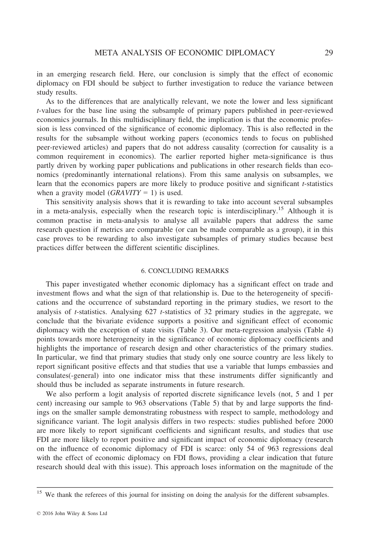in an emerging research field. Here, our conclusion is simply that the effect of economic diplomacy on FDI should be subject to further investigation to reduce the variance between study results.

As to the differences that are analytically relevant, we note the lower and less significant t-values for the base line using the subsample of primary papers published in peer-reviewed economics journals. In this multidisciplinary field, the implication is that the economic profession is less convinced of the significance of economic diplomacy. This is also reflected in the results for the subsample without working papers (economics tends to focus on published peer-reviewed articles) and papers that do not address causality (correction for causality is a common requirement in economics). The earlier reported higher meta-significance is thus partly driven by working paper publications and publications in other research fields than economics (predominantly international relations). From this same analysis on subsamples, we learn that the economics papers are more likely to produce positive and significant *t*-statistics when a gravity model  $(GRAVITY = 1)$  is used.

This sensitivity analysis shows that it is rewarding to take into account several subsamples in a meta-analysis, especially when the research topic is interdisciplinary.<sup>15</sup> Although it is common practise in meta-analysis to analyse all available papers that address the same research question if metrics are comparable (or can be made comparable as a group), it in this case proves to be rewarding to also investigate subsamples of primary studies because best practices differ between the different scientific disciplines.

#### 6. CONCLUDING REMARKS

This paper investigated whether economic diplomacy has a significant effect on trade and investment flows and what the sign of that relationship is. Due to the heterogeneity of specifications and the occurrence of substandard reporting in the primary studies, we resort to the analysis of t-statistics. Analysing 627 t-statistics of 32 primary studies in the aggregate, we conclude that the bivariate evidence supports a positive and significant effect of economic diplomacy with the exception of state visits (Table 3). Our meta-regression analysis (Table 4) points towards more heterogeneity in the significance of economic diplomacy coefficients and highlights the importance of research design and other characteristics of the primary studies. In particular, we find that primary studies that study only one source country are less likely to report significant positive effects and that studies that use a variable that lumps embassies and consulates(-general) into one indicator miss that these instruments differ significantly and should thus be included as separate instruments in future research.

We also perform a logit analysis of reported discrete significance levels (not, 5 and 1 per cent) increasing our sample to 963 observations (Table 5) that by and large supports the findings on the smaller sample demonstrating robustness with respect to sample, methodology and significance variant. The logit analysis differs in two respects: studies published before 2000 are more likely to report significant coefficients and significant results, and studies that use FDI are more likely to report positive and significant impact of economic diplomacy (research on the influence of economic diplomacy of FDI is scarce: only 54 of 963 regressions deal with the effect of economic diplomacy on FDI flows, providing a clear indication that future research should deal with this issue). This approach loses information on the magnitude of the

<sup>&</sup>lt;sup>15</sup> We thank the referees of this journal for insisting on doing the analysis for the different subsamples.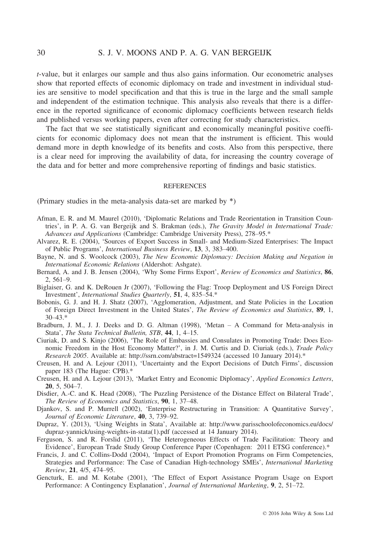t-value, but it enlarges our sample and thus also gains information. Our econometric analyses show that reported effects of economic diplomacy on trade and investment in individual studies are sensitive to model specification and that this is true in the large and the small sample and independent of the estimation technique. This analysis also reveals that there is a difference in the reported significance of economic diplomacy coefficients between research fields and published versus working papers, even after correcting for study characteristics.

The fact that we see statistically significant and economically meaningful positive coefficients for economic diplomacy does not mean that the instrument is efficient. This would demand more in depth knowledge of its benefits and costs. Also from this perspective, there is a clear need for improving the availability of data, for increasing the country coverage of the data and for better and more comprehensive reporting of findings and basic statistics.

#### **REFERENCES**

(Primary studies in the meta-analysis data-set are marked by \*)

- Afman, E. R. and M. Maurel (2010), 'Diplomatic Relations and Trade Reorientation in Transition Countries', in P. A. G. van Bergeijk and S. Brakman (eds.), The Gravity Model in International Trade: Advances and Applications (Cambridge: Cambridge University Press), 278–95.\*
- Alvarez, R. E. (2004), 'Sources of Export Success in Small- and Medium-Sized Enterprises: The Impact of Public Programs', International Business Review, 13, 3, 383–400.
- Bayne, N. and S. Woolcock (2003), The New Economic Diplomacy: Decision Making and Negation in International Economic Relations (Aldershot: Ashgate).
- Bernard, A. and J. B. Jensen (2004), 'Why Some Firms Export', Review of Economics and Statistics, 86, 2, 561–9.
- Biglaiser, G. and K. DeRouen Jr (2007), 'Following the Flag: Troop Deployment and US Foreign Direct Investment', International Studies Quarterly, 51, 4, 835–54.\*
- Bobonis, G. J. and H. J. Shatz (2007), 'Agglomeration, Adjustment, and State Policies in the Location of Foreign Direct Investment in the United States', The Review of Economics and Statistics, 89, 1, 30–43.\*
- Bradburn, J. M., J. J. Deeks and D. G. Altman (1998), 'Metan A Command for Meta-analysis in Stata', The Stata Technical Bulletin, STB, 44, 1, 4–15.
- Ciuriak, D. and S. Kinjo (2006), 'The Role of Embassies and Consulates in Promoting Trade: Does Economic Freedom in the Host Economy Matter?', in J. M. Curtis and D. Ciuriak (eds.), Trade Policy Research 2005. Available at:<http://ssrn.com/abstract=1549324> (accessed 10 January 2014).\*
- Creusen, H. and A. Lejour (2011), 'Uncertainty and the Export Decisions of Dutch Firms', discussion paper 183 (The Hague: CPB).\*
- Creusen, H. and A. Lejour (2013), 'Market Entry and Economic Diplomacy', Applied Economics Letters, 20, 5, 504–7.
- Disdier, A.-C. and K. Head (2008), 'The Puzzling Persistence of the Distance Effect on Bilateral Trade', The Review of Economics and Statistics, 90, 1, 37–48.
- Djankov, S. and P. Murrell (2002), 'Enterprise Restructuring in Transition: A Quantitative Survey', Journal of Economic Literature, 40, 3, 739–92.
- Dupraz, Y. (2013), 'Using Weights in Stata', Available at: [http://www.parisschoolofeconomics.eu/docs/](http://www.parisschoolofeconomics.eu/docs/dupraz-yannick/using-weights-in-stata(1).pdf) [dupraz-yannick/using-weights-in-stata\(1\).pdf](http://www.parisschoolofeconomics.eu/docs/dupraz-yannick/using-weights-in-stata(1).pdf) (accessed at 14 January 2014).
- Ferguson, S. and R. Forslid (2011), 'The Heterogeneous Effects of Trade Facilitation: Theory and Evidence', European Trade Study Group Conference Paper (Copenhagen: 2011 ETSG conference).\*
- Francis, J. and C. Collins-Dodd (2004), 'Impact of Export Promotion Programs on Firm Competencies, Strategies and Performance: The Case of Canadian High-technology SMEs', International Marketing Review, 21, 4/5, 474–95.
- Gencturk, E. and M. Kotabe (2001), 'The Effect of Export Assistance Program Usage on Export Performance: A Contingency Explanation', Journal of International Marketing, 9, 2, 51–72.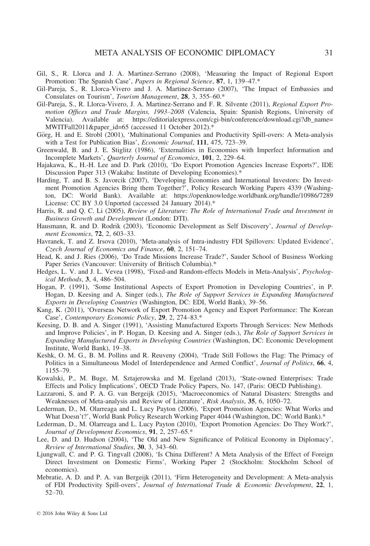- Gil, S., R. Llorca and J. A. Martinez-Serrano (2008), 'Measuring the Impact of Regional Export Promotion: The Spanish Case', *Papers in Regional Science*, 87, 1, 139–47.\*
- Gil-Pareja, S., R. Llorca-Vivero and J. A. Martinez-Serrano (2007), 'The Impact of Embassies and Consulates on Tourism', Tourism Management, 28, 3, 355–60.\*
- Gil-Pareja, S., R. Llorca-Vivero, J. A. Martinez-Serrano and F. R. Silvente (2011), Regional Export Promotion Offices and Trade Margins, 1993–2008 (Valencia, Spain: Spanish Regions, University of Valencia). Available at: [https://editorialexpress.com/cgi-bin/conference/download.cgi?db\\_name=](https://editorialexpress.com/cgi-bin/conference/download.cgi?db_name=MWITFall2011&paper_id=65) [MWITFall2011&paper\\_id=65](https://editorialexpress.com/cgi-bin/conference/download.cgi?db_name=MWITFall2011&paper_id=65) (accessed 11 October 2012).\*
- Görg, H. and E. Strobl (2001), 'Multinational Companies and Productivity Spill-overs: A Meta-analysis with a Test for Publication Bias', Economic Journal, 111, 475, 723-39.
- Greenwald, B. and J. E. Stiglitz (1986), 'Externalities in Economies with Imperfect Information and Incomplete Markets', Quarterly Journal of Economics, 101, 2, 229–64.
- Hajakawa, K., H.-H. Lee and D. Park (2010), 'Do Export Promotion Agencies Increase Exports?', IDE Discussion Paper 313 (Wakaba: Institute of Developing Economies).\*
- Harding, T. and B. S. Javorcik (2007), 'Developing Economies and International Investors: Do Investment Promotion Agencies Bring them Together?', Policy Research Working Papers 4339 (Washington, DC: World Bank). Available at:<https://openknowledge.worldbank.org/handle/10986/7289> License: CC BY 3.0 Unported (accessed 24 January 2014).\*
- Harris, R. and Q. C. Li (2005), Review of Literature: The Role of International Trade and Investment in Business Growth and Development (London: DTI).
- Hausmann, R. and D. Rodrik (2003), 'Economic Development as Self Discovery', Journal of Development Economics, 72, 2, 603–33.
- Havranek, T. and Z. Irsova (2010), 'Meta-analysis of Intra-industry FDI Spillovers: Updated Evidence', Czech Journal of Economics and Finance, 60, 2, 151–74.
- Head, K. and J. Ries (2006), 'Do Trade Missions Increase Trade?', Sauder School of Business Working Paper Series (Vancouver: University of Britisch Columbia).\*
- Hedges, L. V. and J. L. Vevea (1998), 'Fixed-and Random-effects Models in Meta-Analysis', Psychological Methods, 3, 4, 486–504.
- Hogan, P. (1991), 'Some Institutional Aspects of Export Promotion in Developing Countries', in P. Hogan, D. Keesing and A. Singer (eds.), The Role of Support Services in Expanding Manufactured Exports in Developing Countries (Washington, DC: EDI, World Bank), 39–56.
- Kang, K. (2011), 'Overseas Network of Export Promotion Agency and Export Performance: The Korean Case', Contemporary Economic Policy, 29, 2, 274–83.\*
- Keesing, D. B. and A. Singer (1991), 'Assisting Manufactured Exports Through Services: New Methods and Improve Policies', in P. Hogan, D. Keesing and A. Singer (eds.), The Role of Support Services in Expanding Manufactured Exports in Developing Countries (Washington, DC: Economic Development Institute, World Bank), 19–38.
- Keshk, O. M. G., B. M. Pollins and R. Reuveny (2004), 'Trade Still Follows the Flag: The Primacy of Politics in a Simultaneous Model of Interdependence and Armed Conflict', Journal of Politics, 66, 4, 1155–79.
- Kowalski, P., M. Buge, M. Sztajerowska and M. Egeland (2013), 'State-owned Enterprises: Trade Effects and Policy Implications', OECD Trade Policy Papers, No. 147, (Paris: OECD Publishing).
- Lazzaroni, S. and P. A. G. van Bergeijk (2015), 'Macroeconomics of Natural Disasters: Strengths and Weaknesses of Meta-analysis and Review of Literature', Risk Analysis, 35, 6, 1050–72.
- Lederman, D., M. Olarreaga and L. Lucy Payton (2006), 'Export Promotion Agencies: What Works and What Doesn't?', World Bank Policy Research Working Paper 4044 (Washington, DC: World Bank).\*
- Lederman, D., M. Olarreaga and L. Lucy Payton (2010), 'Export Promotion Agencies: Do They Work?', Journal of Development Economics, 91, 2, 257–65.\*
- Lee, D. and D. Hudson (2004), 'The Old and New Significance of Political Economy in Diplomacy', Review of International Studies, 30, 3, 343–60.
- Ljungwall, C. and P. G. Tingvall (2008), 'Is China Different? A Meta Analysis of the Effect of Foreign Direct Investment on Domestic Firms', Working Paper 2 (Stockholm: Stockholm School of economics).
- Mebratie, A. D. and P. A. van Bergeijk (2011), 'Firm Heterogeneity and Development: A Meta-analysis of FDI Productivity Spill-overs', Journal of International Trade & Economic Development, 22, 1, 52–70.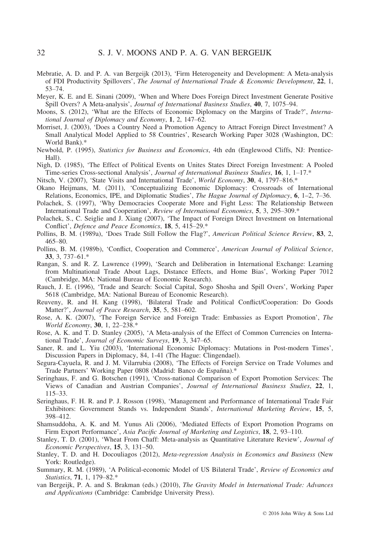- Mebratie, A. D. and P. A. van Bergeijk (2013), 'Firm Heterogeneity and Development: A Meta-analysis of FDI Productivity Spillovers', The Journal of International Trade & Economic Development, 22, 1, 53–74.
- Meyer, K. E. and E. Sinani (2009), 'When and Where Does Foreign Direct Investment Generate Positive Spill Overs? A Meta-analysis', Journal of International Business Studies, 40, 7, 1075–94.
- Moons, S. (2012), 'What are the Effects of Economic Diplomacy on the Margins of Trade?', International Journal of Diplomacy and Economy, 1, 2, 147–62.
- Morriset, J. (2003), 'Does a Country Need a Promotion Agency to Attract Foreign Direct Investment? A Small Analytical Model Applied to 58 Countries', Research Working Paper 3028 (Washington, DC: World Bank).\*
- Newbold, P. (1995), Statistics for Business and Economics, 4th edn (Englewood Cliffs, NJ: Prentice-Hall).
- Nigh, D. (1985), 'The Effect of Political Events on Unites States Direct Foreign Investment: A Pooled Time-series Cross-sectional Analysis', *Journal of International Business Studies*, **16**, 1, 1–17.\*
- Nitsch, V. (2007), 'State Visits and International Trade', World Economy, 30, 4, 1797–816.\*
- Okano Heijmans, M. (2011), 'Conceptualizing Economic Diplomacy: Crossroads of International Relations, Economics, IPE, and Diplomatic Studies', The Hague Journal of Diplomacy, 6, 1–2, 7–36.
- Polachek, S. (1997), 'Why Democracies Cooperate More and Fight Less: The Relationship Between International Trade and Cooperation', Review of International Economics, 5, 3, 295–309.\*
- Polachek, S., C. Seiglie and J. Xiang (2007), 'The Impact of Foreign Direct Investment on International Conflict', Defence and Peace Economics, 18, 5, 415–29.\*
- Pollins, B. M. (1989a), 'Does Trade Still Follow the Flag?', American Political Science Review, 83, 2, 465–80.
- Pollins, B. M. (1989b), 'Conflict, Cooperation and Commerce', American Journal of Political Science, 33, 3, 737–61.\*
- Rangan, S. and R. Z. Lawrence (1999), 'Search and Deliberation in International Exchange: Learning from Multinational Trade About Lags, Distance Effects, and Home Bias', Working Paper 7012 (Cambridge, MA: National Bureau of Economic Research).
- Rauch, J. E. (1996), 'Trade and Search: Social Capital, Sogo Shosha and Spill Overs', Working Paper 5618 (Cambridge, MA: National Bureau of Economic Research).
- Reuveny, R. and H. Kang (1998), 'Bilateral Trade and Political Conflict/Cooperation: Do Goods Matter?', Journal of Peace Research, 35, 5, 581–602.
- Rose, A. K. (2007), 'The Foreign Service and Foreign Trade: Embassies as Export Promotion', The World Economy, 30, 1, 22–238.\*
- Rose, A. K. and T. D. Stanley (2005), 'A Meta-analysis of the Effect of Common Currencies on International Trade', Journal of Economic Surveys, 19, 3, 347–65.
- Saner, R. and L. Yiu (2003), 'International Economic Diplomacy: Mutations in Post-modern Times', Discussion Papers in Diplomacy, 84, 1-41 (The Hague: Clingendael).
- Segura-Cayuela, R. and J. M. Vilarrubia (2008), 'The Effects of Foreign Service on Trade Volumes and Trade Partners' Working Paper 0808 (Madrid: Banco de Españna).\*
- Seringhaus, F. and G. Botschen (1991), 'Cross-national Comparison of Export Promotion Services: The Views of Canadian and Austrian Companies', Journal of International Business Studies, 22, 1, 115–33.
- Seringhaus, F. H. R. and P. J. Rosson (1998), 'Management and Performance of International Trade Fair Exhibitors: Government Stands vs. Independent Stands', International Marketing Review, 15, 5, 398–412.
- Shamsuddoha, A. K. and M. Yunus Ali (2006), 'Mediated Effects of Export Promotion Programs on Firm Export Performance', Asia Pacific Journal of Marketing and Logistics, 18, 2, 93–110.
- Stanley, T. D. (2001), 'Wheat From Chaff: Meta-analysis as Quantitative Literature Review', Journal of Economic Perspectives, 15, 3, 131–50.
- Stanley, T. D. and H. Docouliagos (2012), Meta-regression Analysis in Economics and Business (New York: Routledge).
- Summary, R. M. (1989), 'A Political-economic Model of US Bilateral Trade', Review of Economics and Statistics, 71, 1, 179–82.\*
- van Bergeijk, P. A. and S. Brakman (eds.) (2010), The Gravity Model in International Trade: Advances and Applications (Cambridge: Cambridge University Press).